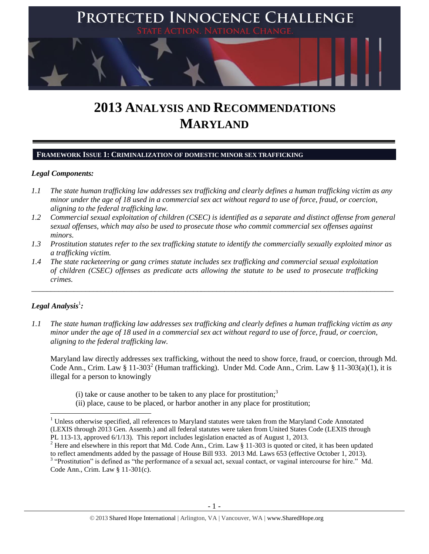

# **2013 ANALYSIS AND RECOMMENDATIONS MARYLAND**

#### **FRAMEWORK ISSUE 1: CRIMINALIZATION OF DOMESTIC MINOR SEX TRAFFICKING**

#### *Legal Components:*

- *1.1 The state human trafficking law addresses sex trafficking and clearly defines a human trafficking victim as any minor under the age of 18 used in a commercial sex act without regard to use of force, fraud, or coercion, aligning to the federal trafficking law.*
- *1.2 Commercial sexual exploitation of children (CSEC) is identified as a separate and distinct offense from general sexual offenses, which may also be used to prosecute those who commit commercial sex offenses against minors.*
- *1.3 Prostitution statutes refer to the sex trafficking statute to identify the commercially sexually exploited minor as a trafficking victim.*

\_\_\_\_\_\_\_\_\_\_\_\_\_\_\_\_\_\_\_\_\_\_\_\_\_\_\_\_\_\_\_\_\_\_\_\_\_\_\_\_\_\_\_\_\_\_\_\_\_\_\_\_\_\_\_\_\_\_\_\_\_\_\_\_\_\_\_\_\_\_\_\_\_\_\_\_\_\_\_\_\_\_\_\_\_\_\_\_\_\_\_\_\_\_

*1.4 The state racketeering or gang crimes statute includes sex trafficking and commercial sexual exploitation of children (CSEC) offenses as predicate acts allowing the statute to be used to prosecute trafficking crimes.* 

## $\bm{L}$ egal Analysis $^1$ :

 $\overline{\phantom{a}}$ 

*1.1 The state human trafficking law addresses sex trafficking and clearly defines a human trafficking victim as any minor under the age of 18 used in a commercial sex act without regard to use of force, fraud, or coercion, aligning to the federal trafficking law.*

Maryland law directly addresses sex trafficking, without the need to show force, fraud, or coercion, through Md. Code Ann., Crim. Law § 11-303<sup>2</sup> (Human trafficking). Under Md. Code Ann., Crim. Law § 11-303(a)(1), it is illegal for a person to knowingly

- <span id="page-0-0"></span>(i) take or cause another to be taken to any place for prostitution;<sup>3</sup>
- (ii) place, cause to be placed, or harbor another in any place for prostitution;

<sup>&</sup>lt;sup>1</sup> Unless otherwise specified, all references to Maryland statutes were taken from the Maryland Code Annotated (LEXIS through 2013 Gen. Assemb.) and all federal statutes were taken from United States Code (LEXIS through PL 113-13, approved 6/1/13). This report includes legislation enacted as of August 1, 2013.

<sup>&</sup>lt;sup>2</sup> Here and elsewhere in this report that Md. Code Ann., Crim. Law § 11-303 is quoted or cited, it has been updated to reflect amendments added by the passage of House Bill 933. 2013 Md. Laws 653 (effective October 1, 2013). <sup>3</sup> "Prostitution" is defined as "the performance of a sexual act, sexual contact, or vaginal intercourse for hire." Md. Code Ann., Crim. Law § 11-301(c).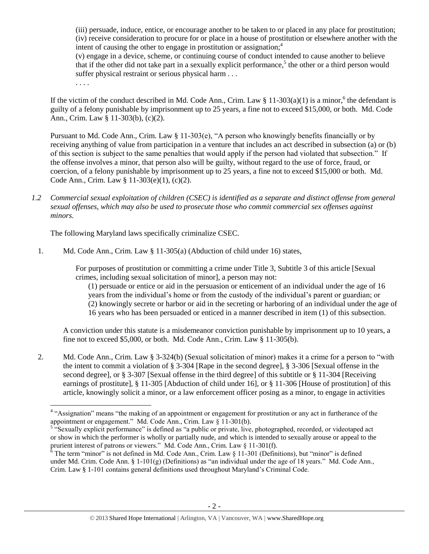<span id="page-1-0"></span>(iii) persuade, induce, entice, or encourage another to be taken to or placed in any place for prostitution; (iv) receive consideration to procure for or place in a house of prostitution or elsewhere another with the intent of causing the other to engage in prostitution or assignation; $<sup>4</sup>$ </sup>

(v) engage in a device, scheme, or continuing course of conduct intended to cause another to believe that if the other did not take part in a sexually explicit performance,<sup>5</sup> the other or a third person would suffer physical restraint or serious physical harm . . .

<span id="page-1-1"></span>. . . .

If the victim of the conduct described in Md. Code Ann., Crim. Law  $\S 11-303(a)(1)$  is a minor,<sup>6</sup> the defendant is guilty of a felony punishable by imprisonment up to 25 years, a fine not to exceed \$15,000, or both. Md. Code Ann., Crim. Law § 11-303(b), (c)(2).

Pursuant to Md. Code Ann., Crim. Law § 11-303(e), "A person who knowingly benefits financially or by receiving anything of value from participation in a venture that includes an act described in subsection (a) or (b) of this section is subject to the same penalties that would apply if the person had violated that subsection." If the offense involves a minor, that person also will be guilty, without regard to the use of force, fraud, or coercion, of a felony punishable by imprisonment up to 25 years, a fine not to exceed \$15,000 or both. Md. Code Ann., Crim. Law § 11-303(e)(1), (c)(2).

*1.2 Commercial sexual exploitation of children (CSEC) is identified as a separate and distinct offense from general sexual offenses, which may also be used to prosecute those who commit commercial sex offenses against minors.*

The following Maryland laws specifically criminalize CSEC.

1. Md. Code Ann., Crim. Law § 11-305(a) (Abduction of child under 16) states,

For purposes of prostitution or committing a crime under Title 3, Subtitle 3 of this article [Sexual crimes, including sexual solicitation of minor], a person may not:

(1) persuade or entice or aid in the persuasion or enticement of an individual under the age of 16 years from the individual's home or from the custody of the individual's parent or guardian; or (2) knowingly secrete or harbor or aid in the secreting or harboring of an individual under the age of 16 years who has been persuaded or enticed in a manner described in item (1) of this subsection.

A conviction under this statute is a misdemeanor conviction punishable by imprisonment up to 10 years, a fine not to exceed \$5,000, or both. Md. Code Ann., Crim. Law § 11-305(b).

2. Md. Code Ann., Crim. Law § 3-324(b) (Sexual solicitation of minor) makes it a crime for a person to "with the intent to commit a violation of § 3-304 [Rape in the second degree], § 3-306 [Sexual offense in the second degree], or § 3-307 [Sexual offense in the third degree] of this subtitle or § 11-304 [Receiving] earnings of prostitute], § 11-305 [Abduction of child under 16], or § 11-306 [House of prostitution] of this article, knowingly solicit a minor, or a law enforcement officer posing as a minor, to engage in activities

 4 "Assignation" means "the making of an appointment or engagement for prostitution or any act in furtherance of the appointment or engagement." Md. Code Ann., Crim. Law § 11-301(b).

<sup>&</sup>lt;sup>5 "S</sup>exually explicit performance" is defined as "a public or private, live, photographed, recorded, or videotaped act or show in which the performer is wholly or partially nude, and which is intended to sexually arouse or appeal to the prurient interest of patrons or viewers." Md. Code Ann., Crim. Law § 11-301(f).

 $6$  The term "minor" is not defined in Md. Code Ann., Crim. Law  $\frac{8}{11}$ -301 (Definitions), but "minor" is defined under Md. Crim. Code Ann. §  $1-101(g)$  (Definitions) as "an individual under the age of 18 years." Md. Code Ann., Crim. Law § 1-101 contains general definitions used throughout Maryland's Criminal Code.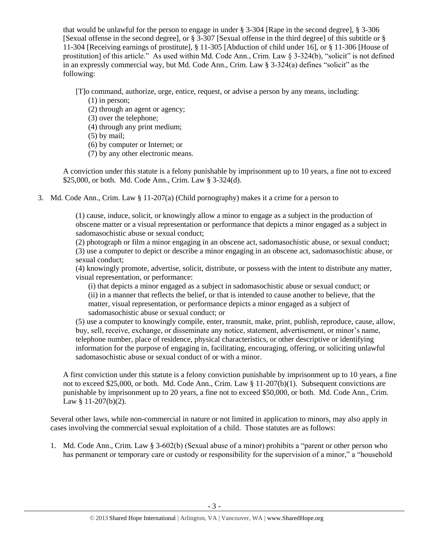that would be unlawful for the person to engage in under § 3-304 [Rape in the second degree], § 3-306 [Sexual offense in the second degree], or § 3-307 [Sexual offense in the third degree] of this subtitle or § 11-304 [Receiving earnings of prostitute], § 11-305 [Abduction of child under 16], or § 11-306 [House of prostitution] of this article." As used within Md. Code Ann., Crim. Law § 3-324(b), "solicit" is not defined in an expressly commercial way, but Md. Code Ann., Crim. Law § 3-324(a) defines "solicit" as the following:

[T]o command, authorize, urge, entice, request, or advise a person by any means, including:

- (1) in person;
- (2) through an agent or agency;
- (3) over the telephone;
- (4) through any print medium;
- (5) by mail;
- (6) by computer or Internet; or
- (7) by any other electronic means.

A conviction under this statute is a felony punishable by imprisonment up to 10 years, a fine not to exceed \$25,000, or both. Md. Code Ann., Crim. Law § 3-324(d).

3. Md. Code Ann., Crim. Law § 11-207(a) (Child pornography) makes it a crime for a person to

(1) cause, induce, solicit, or knowingly allow a minor to engage as a subject in the production of obscene matter or a visual representation or performance that depicts a minor engaged as a subject in sadomasochistic abuse or sexual conduct;

(2) photograph or film a minor engaging in an obscene act, sadomasochistic abuse, or sexual conduct; (3) use a computer to depict or describe a minor engaging in an obscene act, sadomasochistic abuse, or sexual conduct;

(4) knowingly promote, advertise, solicit, distribute, or possess with the intent to distribute any matter, visual representation, or performance:

(i) that depicts a minor engaged as a subject in sadomasochistic abuse or sexual conduct; or

(ii) in a manner that reflects the belief, or that is intended to cause another to believe, that the matter, visual representation, or performance depicts a minor engaged as a subject of sadomasochistic abuse or sexual conduct; or

(5) use a computer to knowingly compile, enter, transmit, make, print, publish, reproduce, cause, allow, buy, sell, receive, exchange, or disseminate any notice, statement, advertisement, or minor's name, telephone number, place of residence, physical characteristics, or other descriptive or identifying information for the purpose of engaging in, facilitating, encouraging, offering, or soliciting unlawful sadomasochistic abuse or sexual conduct of or with a minor.

A first conviction under this statute is a felony conviction punishable by imprisonment up to 10 years, a fine not to exceed \$25,000, or both. Md. Code Ann., Crim. Law § 11-207(b)(1). Subsequent convictions are punishable by imprisonment up to 20 years, a fine not to exceed \$50,000, or both. Md. Code Ann., Crim. Law § 11-207(b)(2).

Several other laws, while non-commercial in nature or not limited in application to minors, may also apply in cases involving the commercial sexual exploitation of a child. Those statutes are as follows:

1. Md. Code Ann., Crim. Law § 3-602(b) (Sexual abuse of a minor) prohibits a "parent or other person who has permanent or temporary care or custody or responsibility for the supervision of a minor," a "household"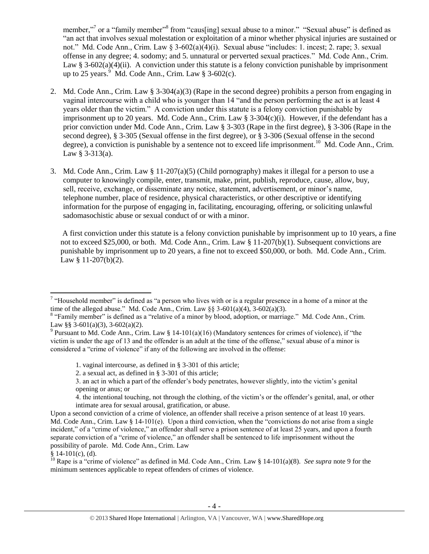member,"<sup>7</sup> or a "family member"<sup>8</sup> from "caus[ing] sexual abuse to a minor." "Sexual abuse" is defined as "an act that involves sexual molestation or exploitation of a minor whether physical injuries are sustained or not." Md. Code Ann., Crim. Law § 3-602(a)(4)(i). Sexual abuse "includes: 1. incest; 2. rape; 3. sexual offense in any degree; 4. sodomy; and 5. unnatural or perverted sexual practices." Md. Code Ann., Crim. Law § 3-602(a)(4)(ii). A conviction under this statute is a felony conviction punishable by imprisonment up to 25 years.  $9 \text{ Md}$ . Code Ann., Crim. Law § 3-602(c).

- <span id="page-3-0"></span>2. Md. Code Ann., Crim. Law § 3-304(a)(3) (Rape in the second degree) prohibits a person from engaging in vaginal intercourse with a child who is younger than 14 "and the person performing the act is at least 4 years older than the victim." A conviction under this statute is a felony conviction punishable by imprisonment up to 20 years. Md. Code Ann., Crim. Law  $\S 3-304(c)(i)$ . However, if the defendant has a prior conviction under Md. Code Ann., Crim. Law § 3-303 (Rape in the first degree), § 3-306 (Rape in the second degree), § 3-305 (Sexual offense in the first degree), or § 3-306 (Sexual offense in the second degree), a conviction is punishable by a sentence not to exceed life imprisonment.<sup>10</sup> Md. Code Ann., Crim. Law  $§ 3-313(a)$ .
- 3. Md. Code Ann., Crim. Law § 11-207(a)(5) (Child pornography) makes it illegal for a person to use a computer to knowingly compile, enter, transmit, make, print, publish, reproduce, cause, allow, buy, sell, receive, exchange, or disseminate any notice, statement, advertisement, or minor's name, telephone number, place of residence, physical characteristics, or other descriptive or identifying information for the purpose of engaging in, facilitating, encouraging, offering, or soliciting unlawful sadomasochistic abuse or sexual conduct of or with a minor.

A first conviction under this statute is a felony conviction punishable by imprisonment up to 10 years, a fine not to exceed \$25,000, or both. Md. Code Ann., Crim. Law § 11-207(b)(1). Subsequent convictions are punishable by imprisonment up to 20 years, a fine not to exceed \$50,000, or both. Md. Code Ann., Crim. Law § 11-207(b)(2).

<sup>&</sup>lt;sup>7</sup> "Household member" is defined as "a person who lives with or is a regular presence in a home of a minor at the time of the alleged abuse." Md. Code Ann., Crim. Law  $\S$  3-601(a)(4), 3-602(a)(3).

<sup>&</sup>lt;sup>8</sup> "Family member" is defined as a "relative of a minor by blood, adoption, or marriage." Md. Code Ann., Crim. Law §§ 3-601(a)(3), 3-602(a)(2).

<sup>&</sup>lt;sup>9</sup> Pursuant to Md. Code Ann., Crim. Law § 14-101(a)(16) (Mandatory sentences for crimes of violence), if "the victim is under the age of 13 and the offender is an adult at the time of the offense," sexual abuse of a minor is considered a "crime of violence" if any of the following are involved in the offense:

<sup>1.</sup> vaginal intercourse, as defined in § 3-301 of this article;

<sup>2.</sup> a sexual act, as defined in § 3-301 of this article;

<sup>3.</sup> an act in which a part of the offender's body penetrates, however slightly, into the victim's genital opening or anus; or

<sup>4.</sup> the intentional touching, not through the clothing, of the victim's or the offender's genital, anal, or other intimate area for sexual arousal, gratification, or abuse.

Upon a second conviction of a crime of violence, an offender shall receive a prison sentence of at least 10 years. Md. Code Ann., Crim. Law § 14-101(e). Upon a third conviction, when the "convictions do not arise from a single incident," of a "crime of violence," an offender shall serve a prison sentence of at least 25 years, and upon a fourth separate conviction of a "crime of violence," an offender shall be sentenced to life imprisonment without the possibility of parole. Md. Code Ann., Crim. Law

 $§ 14-101(c)$ , (d).

<sup>&</sup>lt;sup>10</sup> Rape is a "crime of violence" as defined in Md. Code Ann., Crim. Law § 14-101(a)(8). *See supra* not[e 9](#page-3-0) for the minimum sentences applicable to repeat offenders of crimes of violence.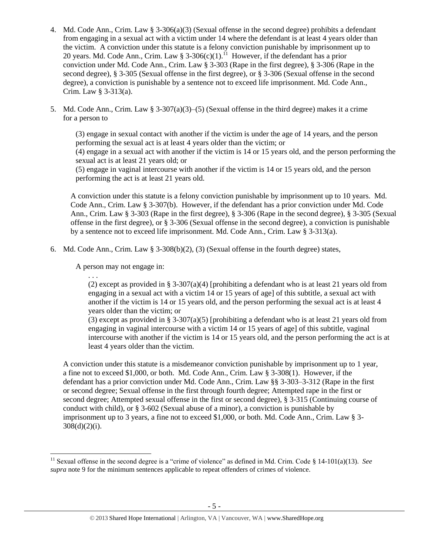- 4. Md. Code Ann., Crim. Law § 3-306(a)(3) (Sexual offense in the second degree) prohibits a defendant from engaging in a sexual act with a victim under 14 where the defendant is at least 4 years older than the victim. A conviction under this statute is a felony conviction punishable by imprisonment up to 20 years. Md. Code Ann., Crim. Law § 3-306(c)(1).<sup>11</sup> However, if the defendant has a prior conviction under Md. Code Ann., Crim. Law § 3-303 (Rape in the first degree), § 3-306 (Rape in the second degree), § 3-305 (Sexual offense in the first degree), or § 3-306 (Sexual offense in the second degree), a conviction is punishable by a sentence not to exceed life imprisonment. Md. Code Ann., Crim. Law § 3-313(a).
- 5. Md. Code Ann., Crim. Law  $\S 3-307(a)(3)-(5)$  (Sexual offense in the third degree) makes it a crime for a person to

(3) engage in sexual contact with another if the victim is under the age of 14 years, and the person performing the sexual act is at least 4 years older than the victim; or

(4) engage in a sexual act with another if the victim is 14 or 15 years old, and the person performing the sexual act is at least 21 years old; or

(5) engage in vaginal intercourse with another if the victim is 14 or 15 years old, and the person performing the act is at least 21 years old.

A conviction under this statute is a felony conviction punishable by imprisonment up to 10 years. Md. Code Ann., Crim. Law § 3-307(b). However, if the defendant has a prior conviction under Md. Code Ann., Crim. Law § 3-303 (Rape in the first degree), § 3-306 (Rape in the second degree), § 3-305 (Sexual offense in the first degree), or § 3-306 (Sexual offense in the second degree), a conviction is punishable by a sentence not to exceed life imprisonment. Md. Code Ann., Crim. Law § 3-313(a).

6. Md. Code Ann., Crim. Law  $\S$  3-308(b)(2), (3) (Sexual offense in the fourth degree) states,

A person may not engage in:

. . .

(2) except as provided in § 3-307(a)(4) [prohibiting a defendant who is at least 21 years old from engaging in a sexual act with a victim 14 or 15 years of age] of this subtitle, a sexual act with another if the victim is 14 or 15 years old, and the person performing the sexual act is at least 4 years older than the victim; or

(3) except as provided in § 3-307(a)(5) [prohibiting a defendant who is at least 21 years old from engaging in vaginal intercourse with a victim 14 or 15 years of agel of this subtitle, vaginal intercourse with another if the victim is 14 or 15 years old, and the person performing the act is at least 4 years older than the victim.

A conviction under this statute is a misdemeanor conviction punishable by imprisonment up to 1 year, a fine not to exceed \$1,000, or both. Md. Code Ann., Crim. Law § 3-308(1). However, if the defendant has a prior conviction under Md. Code Ann., Crim. Law §§ 3-303–3-312 (Rape in the first or second degree; Sexual offense in the first through fourth degree; Attempted rape in the first or second degree; Attempted sexual offense in the first or second degree), § 3-315 (Continuing course of conduct with child), or § 3-602 (Sexual abuse of a minor), a conviction is punishable by imprisonment up to 3 years, a fine not to exceed \$1,000, or both. Md. Code Ann., Crim. Law § 3-  $308(d)(2)(i)$ .

l <sup>11</sup> Sexual offense in the second degree is a "crime of violence" as defined in Md. Crim. Code § 14-101(a)(13). *See supra* note [9](#page-3-0) for the minimum sentences applicable to repeat offenders of crimes of violence.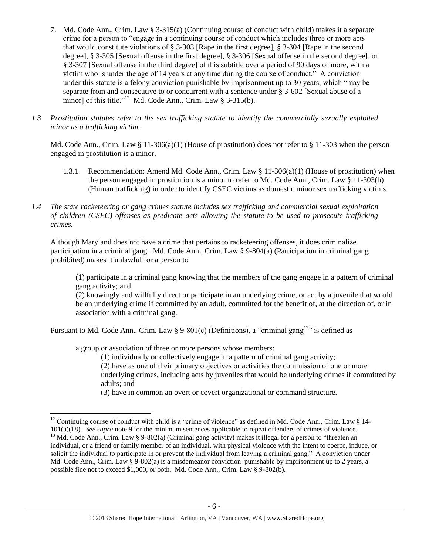- 7. Md. Code Ann., Crim. Law § 3-315(a) (Continuing course of conduct with child) makes it a separate crime for a person to "engage in a continuing course of conduct which includes three or more acts that would constitute violations of § 3-303 [Rape in the first degree], § 3-304 [Rape in the second degree], § 3-305 [Sexual offense in the first degree], § 3-306 [Sexual offense in the second degree], or § 3-307 [Sexual offense in the third degree] of this subtitle over a period of 90 days or more, with a victim who is under the age of 14 years at any time during the course of conduct." A conviction under this statute is a felony conviction punishable by imprisonment up to 30 years, which "may be separate from and consecutive to or concurrent with a sentence under § 3-602 [Sexual abuse of a minor] of this title."<sup>12</sup> Md. Code Ann., Crim. Law § 3-315(b).
- *1.3 Prostitution statutes refer to the sex trafficking statute to identify the commercially sexually exploited minor as a trafficking victim.*

Md. Code Ann., Crim. Law § 11-306(a)(1) (House of prostitution) does not refer to § 11-303 when the person engaged in prostitution is a minor.

- 1.3.1 Recommendation: Amend Md. Code Ann., Crim. Law § 11-306(a)(1) (House of prostitution) when the person engaged in prostitution is a minor to refer to Md. Code Ann., Crim. Law § 11-303(b) (Human trafficking) in order to identify CSEC victims as domestic minor sex trafficking victims.
- *1.4 The state racketeering or gang crimes statute includes sex trafficking and commercial sexual exploitation of children (CSEC) offenses as predicate acts allowing the statute to be used to prosecute trafficking crimes.*

Although Maryland does not have a crime that pertains to racketeering offenses, it does criminalize participation in a criminal gang. Md. Code Ann., Crim. Law § 9-804(a) (Participation in criminal gang prohibited) makes it unlawful for a person to

(1) participate in a criminal gang knowing that the members of the gang engage in a pattern of criminal gang activity; and

(2) knowingly and willfully direct or participate in an underlying crime, or act by a juvenile that would be an underlying crime if committed by an adult, committed for the benefit of, at the direction of, or in association with a criminal gang.

Pursuant to Md. Code Ann., Crim. Law § 9-801(c) (Definitions), a "criminal gang<sup>13</sup>" is defined as

a group or association of three or more persons whose members:

 $\overline{\phantom{a}}$ 

(1) individually or collectively engage in a pattern of criminal gang activity;

(2) have as one of their primary objectives or activities the commission of one or more underlying crimes, including acts by juveniles that would be underlying crimes if committed by adults; and

(3) have in common an overt or covert organizational or command structure.

<sup>&</sup>lt;sup>12</sup> Continuing course of conduct with child is a "crime of violence" as defined in Md. Code Ann., Crim. Law § 14-101(a)(18). *See supra* not[e 9](#page-3-0) for the minimum sentences applicable to repeat offenders of crimes of violence.

<sup>&</sup>lt;sup>13</sup> Md. Code Ann., Crim. Law § 9-802(a) (Criminal gang activity) makes it illegal for a person to "threaten an individual, or a friend or family member of an individual, with physical violence with the intent to coerce, induce, or solicit the individual to participate in or prevent the individual from leaving a criminal gang." A conviction under Md. Code Ann., Crim. Law § 9-802(a) is a misdemeanor conviction punishable by imprisonment up to 2 years, a possible fine not to exceed \$1,000, or both. Md. Code Ann., Crim. Law § 9-802(b).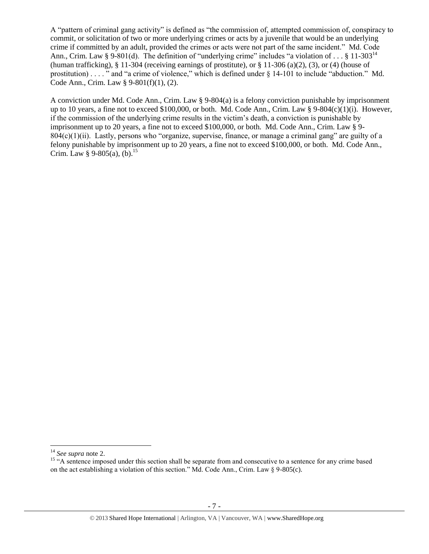A "pattern of criminal gang activity" is defined as "the commission of, attempted commission of, conspiracy to commit, or solicitation of two or more underlying crimes or acts by a juvenile that would be an underlying crime if committed by an adult, provided the crimes or acts were not part of the same incident." Md. Code Ann., Crim. Law § 9-801(d). The definition of "underlying crime" includes "a violation of . . . § 11-303<sup>14</sup> (human trafficking), § 11-304 (receiving earnings of prostitute), or § 11-306 (a)(2), (3), or (4) (house of prostitution) . . . . " and "a crime of violence," which is defined under § 14-101 to include "abduction." Md. Code Ann., Crim. Law § 9-801(f)(1), (2).

A conviction under Md. Code Ann., Crim. Law § 9-804(a) is a felony conviction punishable by imprisonment up to 10 years, a fine not to exceed \$100,000, or both. Md. Code Ann., Crim. Law § 9-804(c)(1)(i). However, if the commission of the underlying crime results in the victim's death, a conviction is punishable by imprisonment up to 20 years, a fine not to exceed \$100,000, or both. Md. Code Ann., Crim. Law § 9-  $804(c)(1)(ii)$ . Lastly, persons who "organize, supervise, finance, or manage a criminal gang" are guilty of a felony punishable by imprisonment up to 20 years, a fine not to exceed \$100,000, or both. Md. Code Ann., Crim. Law § 9-805(a), (b).<sup>15</sup>

<sup>14</sup> *See supra* note [2.](#page-0-0)

<sup>&</sup>lt;sup>15</sup> "A sentence imposed under this section shall be separate from and consecutive to a sentence for any crime based on the act establishing a violation of this section." Md. Code Ann., Crim. Law § 9-805(c).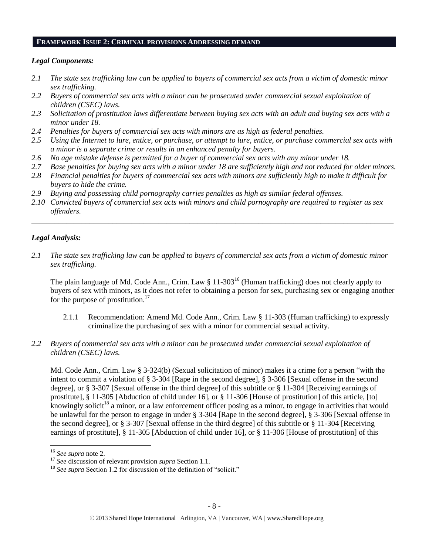#### **FRAMEWORK ISSUE 2: CRIMINAL PROVISIONS ADDRESSING DEMAND**

#### *Legal Components:*

- *2.1 The state sex trafficking law can be applied to buyers of commercial sex acts from a victim of domestic minor sex trafficking.*
- *2.2 Buyers of commercial sex acts with a minor can be prosecuted under commercial sexual exploitation of children (CSEC) laws.*
- *2.3 Solicitation of prostitution laws differentiate between buying sex acts with an adult and buying sex acts with a minor under 18.*
- *2.4 Penalties for buyers of commercial sex acts with minors are as high as federal penalties.*
- *2.5 Using the Internet to lure, entice, or purchase, or attempt to lure, entice, or purchase commercial sex acts with a minor is a separate crime or results in an enhanced penalty for buyers.*
- *2.6 No age mistake defense is permitted for a buyer of commercial sex acts with any minor under 18.*
- *2.7 Base penalties for buying sex acts with a minor under 18 are sufficiently high and not reduced for older minors.*
- *2.8 Financial penalties for buyers of commercial sex acts with minors are sufficiently high to make it difficult for buyers to hide the crime.*
- *2.9 Buying and possessing child pornography carries penalties as high as similar federal offenses.*
- *2.10 Convicted buyers of commercial sex acts with minors and child pornography are required to register as sex offenders.*

\_\_\_\_\_\_\_\_\_\_\_\_\_\_\_\_\_\_\_\_\_\_\_\_\_\_\_\_\_\_\_\_\_\_\_\_\_\_\_\_\_\_\_\_\_\_\_\_\_\_\_\_\_\_\_\_\_\_\_\_\_\_\_\_\_\_\_\_\_\_\_\_\_\_\_\_\_\_\_\_\_\_\_\_\_\_\_\_\_\_\_\_\_\_

### *Legal Analysis:*

*2.1 The state sex trafficking law can be applied to buyers of commercial sex acts from a victim of domestic minor sex trafficking.* 

The plain language of Md. Code Ann., Crim. Law § 11-303<sup>16</sup> (Human trafficking) does not clearly apply to buyers of sex with minors, as it does not refer to obtaining a person for sex, purchasing sex or engaging another for the purpose of prostitution. $17$ 

- 2.1.1 Recommendation: Amend Md. Code Ann., Crim. Law § 11-303 (Human trafficking) to expressly criminalize the purchasing of sex with a minor for commercial sexual activity.
- *2.2 Buyers of commercial sex acts with a minor can be prosecuted under commercial sexual exploitation of children (CSEC) laws.*

Md. Code Ann., Crim. Law § 3-324(b) (Sexual solicitation of minor) makes it a crime for a person "with the intent to commit a violation of § 3-304 [Rape in the second degree], § 3-306 [Sexual offense in the second degree], or § 3-307 [Sexual offense in the third degree] of this subtitle or § 11-304 [Receiving earnings of prostitute], § 11-305 [Abduction of child under 16], or § 11-306 [House of prostitution] of this article, [to] knowingly solicit<sup>18</sup> a minor, or a law enforcement officer posing as a minor, to engage in activities that would be unlawful for the person to engage in under § 3-304 [Rape in the second degree], § 3-306 [Sexual offense in the second degree], or § 3-307 [Sexual offense in the third degree] of this subtitle or § 11-304 [Receiving earnings of prostitute], § 11-305 [Abduction of child under 16], or § 11-306 [House of prostitution] of this

<sup>16</sup> *See supra* note [2.](#page-0-0)

<sup>17</sup> *See* discussion of relevant provision *supra* Section 1.1*.*

<sup>&</sup>lt;sup>18</sup> *See supra* Section 1.2 for discussion of the definition of "solicit."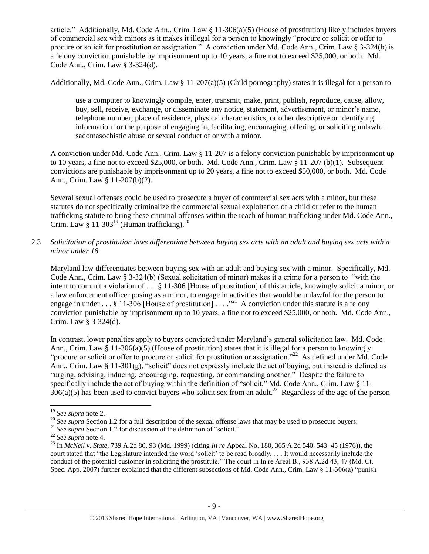article." Additionally, Md. Code Ann., Crim. Law § 11-306(a)(5) (House of prostitution) likely includes buyers of commercial sex with minors as it makes it illegal for a person to knowingly "procure or solicit or offer to procure or solicit for prostitution or assignation." A conviction under Md. Code Ann., Crim. Law § 3-324(b) is a felony conviction punishable by imprisonment up to 10 years, a fine not to exceed \$25,000, or both. Md. Code Ann., Crim. Law § 3-324(d).

Additionally, Md. Code Ann., Crim. Law § 11-207(a)(5) (Child pornography) states it is illegal for a person to

use a computer to knowingly compile, enter, transmit, make, print, publish, reproduce, cause, allow, buy, sell, receive, exchange, or disseminate any notice, statement, advertisement, or minor's name, telephone number, place of residence, physical characteristics, or other descriptive or identifying information for the purpose of engaging in, facilitating, encouraging, offering, or soliciting unlawful sadomasochistic abuse or sexual conduct of or with a minor.

A conviction under Md. Code Ann., Crim. Law § 11-207 is a felony conviction punishable by imprisonment up to 10 years, a fine not to exceed \$25,000, or both. Md. Code Ann., Crim. Law § 11-207 (b)(1). Subsequent convictions are punishable by imprisonment up to 20 years, a fine not to exceed \$50,000, or both. Md. Code Ann., Crim. Law § 11-207(b)(2).

Several sexual offenses could be used to prosecute a buyer of commercial sex acts with a minor, but these statutes do not specifically criminalize the commercial sexual exploitation of a child or refer to the human trafficking statute to bring these criminal offenses within the reach of human trafficking under Md. Code Ann., Crim. Law  $\S 11$ -303<sup>19</sup> (Human trafficking).<sup>20</sup>

2.3 *Solicitation of prostitution laws differentiate between buying sex acts with an adult and buying sex acts with a minor under 18.*

Maryland law differentiates between buying sex with an adult and buying sex with a minor. Specifically, Md. Code Ann., Crim. Law § 3-324(b) (Sexual solicitation of minor) makes it a crime for a person to "with the intent to commit a violation of . . . § 11-306 [House of prostitution] of this article, knowingly solicit a minor, or a law enforcement officer posing as a minor, to engage in activities that would be unlawful for the person to engage in under  $\dots$  § 11-306 [House of prostitution]  $\dots$ ."<sup>21</sup> A conviction under this statute is a felony conviction punishable by imprisonment up to 10 years, a fine not to exceed \$25,000, or both. Md. Code Ann., Crim. Law § 3-324(d).

In contrast, lower penalties apply to buyers convicted under Maryland's general solicitation law. Md. Code Ann., Crim. Law  $\S 11-306(a)(5)$  (House of prostitution) states that it is illegal for a person to knowingly "procure or solicit or offer to procure or solicit for prostitution or assignation."<sup>22</sup> As defined under Md. Code Ann., Crim. Law § 11-301(g), "solicit" does not expressly include the act of buying, but instead is defined as "urging, advising, inducing, encouraging, requesting, or commanding another." Despite the failure to specifically include the act of buying within the definition of "solicit," Md. Code Ann., Crim. Law § 11- $306(a)(5)$  has been used to convict buyers who solicit sex from an adult.<sup>23</sup> Regardless of the age of the person

 $\overline{a}$ <sup>19</sup> *See supra* note [2.](#page-0-0)

<sup>&</sup>lt;sup>20</sup> See supra Section 1.2 for a full description of the sexual offense laws that may be used to prosecute buyers.

<sup>&</sup>lt;sup>21</sup> See supra Section 1.2 for discussion of the definition of "solicit."

<sup>22</sup> *See supra* note [4.](#page-1-0)

<sup>23</sup> In *McNeil v. State*, 739 A.2d 80, 93 (Md. 1999) (citing *In re* Appeal No. 180, 365 A.2d 540. 543–45 (1976)), the court stated that "the Legislature intended the word 'solicit' to be read broadly. . . . It would necessarily include the conduct of the potential customer in soliciting the prostitute." The court in In re Areal B., 938 A.2d 43, 47 (Md. Ct. Spec. App. 2007) further explained that the different subsections of Md. Code Ann., Crim. Law § 11-306(a) "punish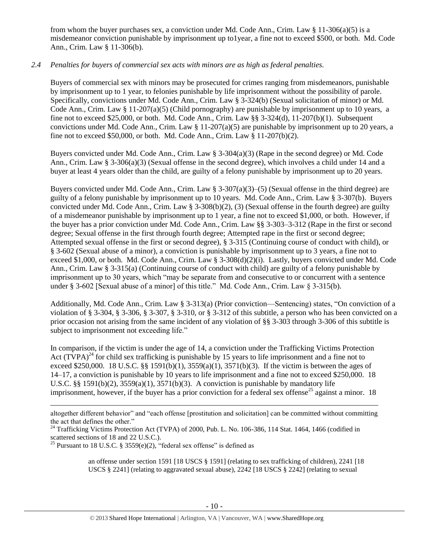from whom the buyer purchases sex, a conviction under Md. Code Ann., Crim. Law § 11-306(a)(5) is a misdemeanor conviction punishable by imprisonment up to1year, a fine not to exceed \$500, or both. Md. Code Ann., Crim. Law § 11-306(b).

## *2.4 Penalties for buyers of commercial sex acts with minors are as high as federal penalties.*

Buyers of commercial sex with minors may be prosecuted for crimes ranging from misdemeanors, punishable by imprisonment up to 1 year, to felonies punishable by life imprisonment without the possibility of parole. Specifically, convictions under Md. Code Ann., Crim. Law § 3-324(b) (Sexual solicitation of minor) or Md. Code Ann., Crim. Law § 11-207(a)(5) (Child pornography) are punishable by imprisonment up to 10 years, a fine not to exceed \$25,000, or both. Md. Code Ann., Crim. Law §§ 3-324(d), 11-207(b)(1). Subsequent convictions under Md. Code Ann., Crim. Law § 11-207(a)(5) are punishable by imprisonment up to 20 years, a fine not to exceed \$50,000, or both. Md. Code Ann., Crim. Law § 11-207(b)(2).

Buyers convicted under Md. Code Ann., Crim. Law § 3-304(a)(3) (Rape in the second degree) or Md. Code Ann., Crim. Law § 3-306(a)(3) (Sexual offense in the second degree), which involves a child under 14 and a buyer at least 4 years older than the child, are guilty of a felony punishable by imprisonment up to 20 years.

Buyers convicted under Md. Code Ann., Crim. Law § 3-307(a)(3)–(5) (Sexual offense in the third degree) are guilty of a felony punishable by imprisonment up to 10 years. Md. Code Ann., Crim. Law § 3-307(b). Buyers convicted under Md. Code Ann., Crim. Law § 3-308(b)(2), (3) (Sexual offense in the fourth degree) are guilty of a misdemeanor punishable by imprisonment up to 1 year, a fine not to exceed \$1,000, or both. However, if the buyer has a prior conviction under Md. Code Ann., Crim. Law §§ 3-303–3-312 (Rape in the first or second degree; Sexual offense in the first through fourth degree; Attempted rape in the first or second degree; Attempted sexual offense in the first or second degree), § 3-315 (Continuing course of conduct with child), or § 3-602 (Sexual abuse of a minor), a conviction is punishable by imprisonment up to 3 years, a fine not to exceed \$1,000, or both. Md. Code Ann., Crim. Law § 3-308(d)(2)(i). Lastly, buyers convicted under Md. Code Ann., Crim. Law § 3-315(a) (Continuing course of conduct with child) are guilty of a felony punishable by imprisonment up to 30 years, which "may be separate from and consecutive to or concurrent with a sentence under § 3-602 [Sexual abuse of a minor] of this title." Md. Code Ann., Crim. Law § 3-315(b).

Additionally, Md. Code Ann., Crim. Law § 3-313(a) (Prior conviction—Sentencing) states, "On conviction of a violation of § 3-304, § 3-306, § 3-307, § 3-310, or § 3-312 of this subtitle, a person who has been convicted on a prior occasion not arising from the same incident of any violation of §§ 3-303 through 3-306 of this subtitle is subject to imprisonment not exceeding life."

<span id="page-9-0"></span>In comparison, if the victim is under the age of 14, a conviction under the Trafficking Victims Protection Act  $(TVPA)^{24}$  for child sex trafficking is punishable by 15 years to life imprisonment and a fine not to exceed \$250,000. 18 U.S.C. §§ 1591(b)(1), 3559(a)(1), 3571(b)(3). If the victim is between the ages of 14–17, a conviction is punishable by 10 years to life imprisonment and a fine not to exceed \$250,000. 18 U.S.C. §§ 1591(b)(2),  $3559(a)(1)$ ,  $3571(b)(3)$ . A conviction is punishable by mandatory life imprisonment, however, if the buyer has a prior conviction for a federal sex offense<sup>25</sup> against a minor. 18

 $\overline{a}$ 

<span id="page-9-1"></span>an offense under section 1591 [18 USCS § 1591] (relating to sex trafficking of children), 2241 [18 USCS § 2241] (relating to aggravated sexual abuse), 2242 [18 USCS § 2242] (relating to sexual

altogether different behavior" and "each offense [prostitution and solicitation] can be committed without committing the act that defines the other."

 $^{24}$  Trafficking Victims Protection Act (TVPA) of 2000, Pub. L. No. 106-386, 114 Stat. 1464, 1466 (codified in scattered sections of 18 and 22 U.S.C.).

<sup>&</sup>lt;sup>25</sup> Pursuant to 18 U.S.C. § 3559 $(e)(2)$ , "federal sex offense" is defined as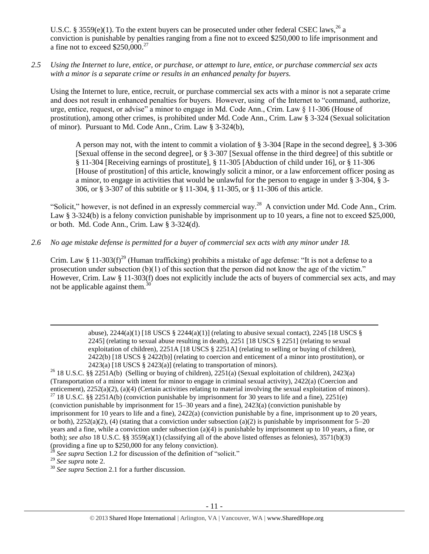U.S.C. § 3559(e)(1). To the extent buyers can be prosecuted under other federal CSEC laws,<sup>26</sup> a conviction is punishable by penalties ranging from a fine not to exceed \$250,000 to life imprisonment and a fine not to exceed  $$250,000.<sup>27</sup>$ 

*2.5 Using the Internet to lure, entice, or purchase, or attempt to lure, entice, or purchase commercial sex acts with a minor is a separate crime or results in an enhanced penalty for buyers.*

Using the Internet to lure, entice, recruit, or purchase commercial sex acts with a minor is not a separate crime and does not result in enhanced penalties for buyers. However, using of the Internet to "command, authorize, urge, entice, request, or advise" a minor to engage in Md. Code Ann., Crim. Law § 11-306 (House of prostitution), among other crimes, is prohibited under Md. Code Ann., Crim. Law § 3-324 (Sexual solicitation of minor). Pursuant to Md. Code Ann., Crim. Law § 3-324(b),

A person may not, with the intent to commit a violation of § 3-304 [Rape in the second degree], § 3-306 [Sexual offense in the second degree], or § 3-307 [Sexual offense in the third degree] of this subtitle or § 11-304 [Receiving earnings of prostitute], § 11-305 [Abduction of child under 16], or § 11-306 [House of prostitution] of this article, knowingly solicit a minor, or a law enforcement officer posing as a minor, to engage in activities that would be unlawful for the person to engage in under § 3-304, § 3- 306, or § 3-307 of this subtitle or § 11-304, § 11-305, or § 11-306 of this article.

"Solicit," however, is not defined in an expressly commercial way.<sup>28</sup> A conviction under Md. Code Ann., Crim. Law § 3-324(b) is a felony conviction punishable by imprisonment up to 10 years, a fine not to exceed \$25,000, or both. Md. Code Ann., Crim. Law § 3-324(d).

*2.6 No age mistake defense is permitted for a buyer of commercial sex acts with any minor under 18.*

Crim. Law § 11-303(f)<sup>29</sup> (Human trafficking) prohibits a mistake of age defense: "It is not a defense to a prosecution under subsection  $(b)(1)$  of this section that the person did not know the age of the victim." However, Crim. Law § 11-303(f) does not explicitly include the acts of buyers of commercial sex acts, and may not be applicable against them.<sup>30</sup>

> abuse),  $2244(a)(1)$  [18 USCS  $\S$   $2244(a)(1)$ ] (relating to abusive sexual contact),  $2245$  [18 USCS  $\S$ 2245] (relating to sexual abuse resulting in death), 2251 [18 USCS § 2251] (relating to sexual exploitation of children), 2251A [18 USCS § 2251A] (relating to selling or buying of children), 2422(b) [18 USCS § 2422(b)] (relating to coercion and enticement of a minor into prostitution), or  $2423(a)$  [18 USCS § 2423(a)] (relating to transportation of minors).

<sup>&</sup>lt;sup>26</sup> 18 U.S.C. §§ 2251A(b) (Selling or buying of children), 2251(a) (Sexual exploitation of children), 2423(a) (Transportation of a minor with intent for minor to engage in criminal sexual activity), 2422(a) (Coercion and enticement), 2252(a)(2), (a)(4) (Certain activities relating to material involving the sexual exploitation of minors).

<sup>&</sup>lt;sup>27</sup> 18 U.S.C. §§ 2251A(b) (conviction punishable by imprisonment for 30 years to life and a fine), 2251(e) (conviction punishable by imprisonment for 15–30 years and a fine), 2423(a) (conviction punishable by imprisonment for 10 years to life and a fine), 2422(a) (conviction punishable by a fine, imprisonment up to 20 years, or both),  $2252(a)(2)$ , (4) (stating that a conviction under subsection (a)(2) is punishable by imprisonment for 5–20 years and a fine, while a conviction under subsection (a)(4) is punishable by imprisonment up to 10 years, a fine, or both); *see also* 18 U.S.C. §§ 3559(a)(1) (classifying all of the above listed offenses as felonies), 3571(b)(3) (providing a fine up to \$250,000 for any felony conviction).

See supra Section 1.2 for discussion of the definition of "solicit."

<sup>29</sup> *See supra* note [2.](#page-0-0)

<sup>30</sup> *See supra* Section 2.1 for a further discussion.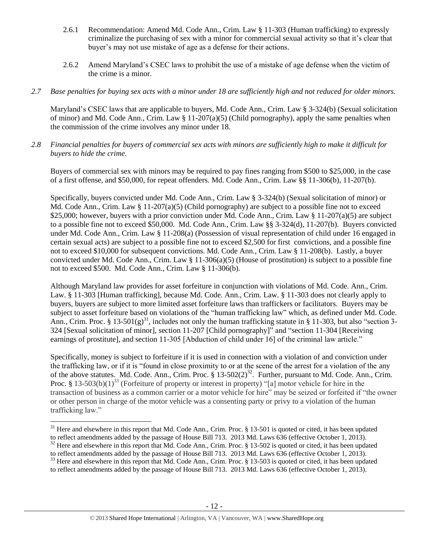- 2.6.1 Recommendation: Amend Md. Code Ann., Crim. Law § 11-303 (Human trafficking) to expressly criminalize the purchasing of sex with a minor for commercial sexual activity so that it's clear that buyer's may not use mistake of age as a defense for their actions.
- 2.6.2 Amend Maryland's CSEC laws to prohibit the use of a mistake of age defense when the victim of the crime is a minor.
- *2.7 Base penalties for buying sex acts with a minor under 18 are sufficiently high and not reduced for older minors.*

Maryland's CSEC laws that are applicable to buyers, Md. Code Ann., Crim. Law § 3-324(b) (Sexual solicitation of minor) and Md. Code Ann., Crim. Law  $\S 11-207(a)(5)$  (Child pornography), apply the same penalties when the commission of the crime involves any minor under 18.

*2.8 Financial penalties for buyers of commercial sex acts with minors are sufficiently high to make it difficult for buyers to hide the crime.*

Buyers of commercial sex with minors may be required to pay fines ranging from \$500 to \$25,000, in the case of a first offense, and \$50,000, for repeat offenders. Md. Code Ann., Crim. Law §§ 11-306(b), 11-207(b).

Specifically, buyers convicted under Md. Code Ann., Crim. Law § 3-324(b) (Sexual solicitation of minor) or Md. Code Ann., Crim. Law  $\S 11-207(a)(5)$  (Child pornography) are subject to a possible fine not to exceed \$25,000; however, buyers with a prior conviction under Md. Code Ann., Crim. Law § 11-207(a)(5) are subject to a possible fine not to exceed \$50,000. Md. Code Ann., Crim. Law §§ 3-324(d), 11-207(b). Buyers convicted under Md. Code Ann., Crim. Law § 11-208(a) (Possession of visual representation of child under 16 engaged in certain sexual acts) are subject to a possible fine not to exceed \$2,500 for first convictions, and a possible fine not to exceed \$10,000 for subsequent convictions. Md. Code Ann., Crim. Law § 11-208(b). Lastly, a buyer convicted under Md. Code Ann., Crim. Law  $\S 11-306(a)(5)$  (House of prostitution) is subject to a possible fine not to exceed \$500. Md. Code Ann., Crim. Law § 11-306(b).

Although Maryland law provides for asset forfeiture in conjunction with violations of Md. Code. Ann., Crim. Law. § 11-303 [Human trafficking], because Md. Code. Ann., Crim. Law. § 11-303 does not clearly apply to buyers, buyers are subject to more limited asset forfeiture laws than traffickers or facilitators. Buyers may be subject to asset forfeiture based on violations of the "human trafficking law" which, as defined under Md. Code. Ann., Crim. Proc. § 13-501(g)<sup>31</sup>, includes not only the human trafficking statute in § 11-303, but also "section 3-324 [Sexual solicitation of minor], section 11-207 [Child pornography]" and "section 11-304 [Receiving earnings of prostitute], and section 11-305 [Abduction of child under 16] of the criminal law article."

<span id="page-11-1"></span><span id="page-11-0"></span>Specifically, money is subject to forfeiture if it is used in connection with a violation of and conviction under the trafficking law, or if it is "found in close proximity to or at the scene of the arrest for a violation of the any of the above statutes. Md. Code. Ann., Crim. Proc. § 13-502(2)<sup>32</sup>. Further, pursuant to Md. Code. Ann., Crim. Proc. § 13-503(b)(1)<sup>33</sup> (Forfeiture of property or interest in property) "[a] motor vehicle for hire in the transaction of business as a common carrier or a motor vehicle for hire" may be seized or forfeited if "the owner or other person in charge of the motor vehicle was a consenting party or privy to a violation of the human trafficking law."

 $31$  Here and elsewhere in this report that Md. Code Ann., Crim. Proc. § 13-501 is quoted or cited, it has been updated to reflect amendments added by the passage of House Bill 713. 2013 Md. Laws 636 (effective October 1, 2013).

<sup>&</sup>lt;sup>32</sup> Here and elsewhere in this report that Md. Code Ann., Crim. Proc. § 13-502 is quoted or cited, it has been updated to reflect amendments added by the passage of House Bill 713. 2013 Md. Laws 636 (effective October 1, 2013).

<sup>&</sup>lt;sup>33</sup> Here and elsewhere in this report that Md. Code Ann., Crim. Proc. § 13-503 is quoted or cited, it has been updated to reflect amendments added by the passage of House Bill 713. 2013 Md. Laws 636 (effective October 1, 2013).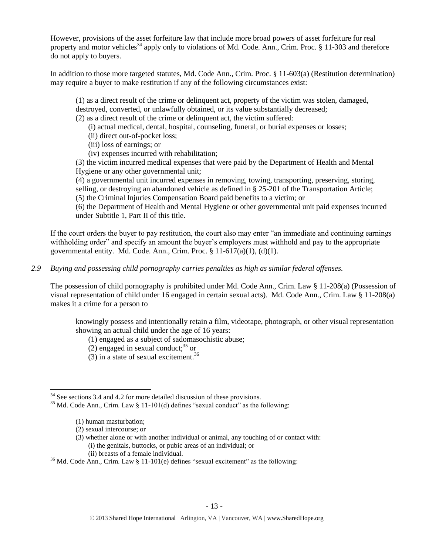However, provisions of the asset forfeiture law that include more broad powers of asset forfeiture for real property and motor vehicles<sup>34</sup> apply only to violations of Md. Code. Ann., Crim. Proc.  $\S$  11-303 and therefore do not apply to buyers.

In addition to those more targeted statutes, Md. Code Ann., Crim. Proc. § 11-603(a) (Restitution determination) may require a buyer to make restitution if any of the following circumstances exist:

(1) as a direct result of the crime or delinquent act, property of the victim was stolen, damaged, destroyed, converted, or unlawfully obtained, or its value substantially decreased;

(2) as a direct result of the crime or delinquent act, the victim suffered:

(i) actual medical, dental, hospital, counseling, funeral, or burial expenses or losses;

- (ii) direct out-of-pocket loss;
- (iii) loss of earnings; or
- (iv) expenses incurred with rehabilitation;

(3) the victim incurred medical expenses that were paid by the Department of Health and Mental Hygiene or any other governmental unit;

(4) a governmental unit incurred expenses in removing, towing, transporting, preserving, storing, selling, or destroying an abandoned vehicle as defined in § 25-201 of the Transportation Article; (5) the Criminal Injuries Compensation Board paid benefits to a victim; or

(6) the Department of Health and Mental Hygiene or other governmental unit paid expenses incurred under Subtitle 1, Part II of this title.

If the court orders the buyer to pay restitution, the court also may enter "an immediate and continuing earnings withholding order" and specify an amount the buyer's employers must withhold and pay to the appropriate governmental entity. Md. Code. Ann., Crim. Proc.  $\S 11-617(a)(1)$ ,  $(d)(1)$ .

*2.9 Buying and possessing child pornography carries penalties as high as similar federal offenses.*

The possession of child pornography is prohibited under Md. Code Ann., Crim. Law § 11-208(a) (Possession of visual representation of child under 16 engaged in certain sexual acts). Md. Code Ann., Crim. Law § 11-208(a) makes it a crime for a person to

knowingly possess and intentionally retain a film, videotape, photograph, or other visual representation showing an actual child under the age of 16 years:

(1) engaged as a subject of sadomasochistic abuse;

- (2) engaged in sexual conduct;  $35$  or
- (3) in a state of sexual excitement.<sup>36</sup>

 $\overline{a}$ 

(3) whether alone or with another individual or animal, any touching of or contact with: (i) the genitals, buttocks, or pubic areas of an individual; or (ii) breasts of a female individual.

 $34$  See sections 3.4 and 4.2 for more detailed discussion of these provisions.

 $35$  Md. Code Ann., Crim. Law § 11-101(d) defines "sexual conduct" as the following:

<sup>(1)</sup> human masturbation;

<sup>(2)</sup> sexual intercourse; or

 $36$  Md. Code Ann., Crim. Law § 11-101(e) defines "sexual excitement" as the following: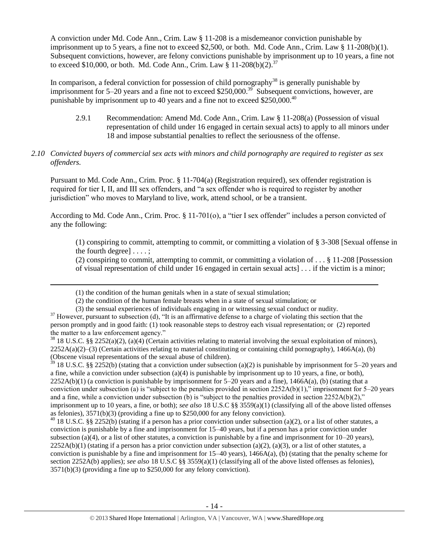A conviction under Md. Code Ann., Crim. Law § 11-208 is a misdemeanor conviction punishable by imprisonment up to 5 years, a fine not to exceed \$2,500, or both. Md. Code Ann., Crim. Law § 11-208(b)(1). Subsequent convictions, however, are felony convictions punishable by imprisonment up to 10 years, a fine not to exceed \$10,000, or both. Md. Code Ann., Crim. Law  $\frac{1}{8}$  11-208(b)(2).<sup>37</sup>

In comparison, a federal conviction for possession of child pornography<sup>38</sup> is generally punishable by imprisonment for 5–20 years and a fine not to exceed \$250,000.<sup>39</sup> Subsequent convictions, however, are punishable by imprisonment up to 40 years and a fine not to exceed \$250,000.<sup>40</sup>

2.9.1 Recommendation: Amend Md. Code Ann., Crim. Law § 11-208(a) (Possession of visual representation of child under 16 engaged in certain sexual acts) to apply to all minors under 18 and impose substantial penalties to reflect the seriousness of the offense.

#### *2.10 Convicted buyers of commercial sex acts with minors and child pornography are required to register as sex offenders.*

Pursuant to Md. Code Ann., Crim. Proc. § 11-704(a) (Registration required), sex offender registration is required for tier I, II, and III sex offenders, and "a sex offender who is required to register by another jurisdiction" who moves to Maryland to live, work, attend school, or be a transient.

According to Md. Code Ann., Crim. Proc. § 11-701(o), a "tier I sex offender" includes a person convicted of any the following:

(1) conspiring to commit, attempting to commit, or committing a violation of § 3-308 [Sexual offense in the fourth degree] . . . . ;

(2) conspiring to commit, attempting to commit, or committing a violation of . . . § 11-208 [Possession of visual representation of child under 16 engaged in certain sexual acts] . . . if the victim is a minor;

l

 $39$  18 U.S.C. §§ 2252(b) (stating that a conviction under subsection (a)(2) is punishable by imprisonment for 5–20 years and a fine, while a conviction under subsection (a)(4) is punishable by imprisonment up to 10 years, a fine, or both),  $2252A(b)(1)$  (a conviction is punishable by imprisonment for  $5-20$  years and a fine),  $1466A(a)$ , (b) (stating that a conviction under subsection (a) is "subject to the penalties provided in section  $2252A(b)(1)$ ," imprisonment for 5–20 years and a fine, while a conviction under subsection (b) is "subject to the penalties provided in section  $2252A(b)(2)$ ," imprisonment up to 10 years, a fine, or both); *see also* 18 U.S.C §§ 3559(a)(1) (classifying all of the above listed offenses as felonies), 3571(b)(3) (providing a fine up to \$250,000 for any felony conviction).

<sup>40</sup> 18 U.S.C. §§ 2252(b) (stating if a person has a prior conviction under subsection (a)(2), or a list of other statutes, a conviction is punishable by a fine and imprisonment for 15–40 years, but if a person has a prior conviction under subsection (a)(4), or a list of other statutes, a conviction is punishable by a fine and imprisonment for  $10-20$  years),  $2252A(b)(1)$  (stating if a person has a prior conviction under subsection (a)(2), (a)(3), or a list of other statutes, a conviction is punishable by a fine and imprisonment for 15–40 years), 1466A(a), (b) (stating that the penalty scheme for section 2252A(b) applies); *see also* 18 U.S.C §§ 3559(a)(1) (classifying all of the above listed offenses as felonies), 3571(b)(3) (providing a fine up to \$250,000 for any felony conviction).

<sup>(1)</sup> the condition of the human genitals when in a state of sexual stimulation;

<sup>(2)</sup> the condition of the human female breasts when in a state of sexual stimulation; or

<sup>(3)</sup> the sensual experiences of individuals engaging in or witnessing sexual conduct or nudity.

 $37$  However, pursuant to subsection (d), "It is an affirmative defense to a charge of violating this section that the person promptly and in good faith: (1) took reasonable steps to destroy each visual representation; or (2) reported the matter to a law enforcement agency."

 $38\,18\,$  U.S.C. §§ 2252(a)(2), (a)(4) (Certain activities relating to material involving the sexual exploitation of minors),  $2252A(a)(2)$ –(3) (Certain activities relating to material constituting or containing child pornography), 1466A(a), (b) (Obscene visual representations of the sexual abuse of children).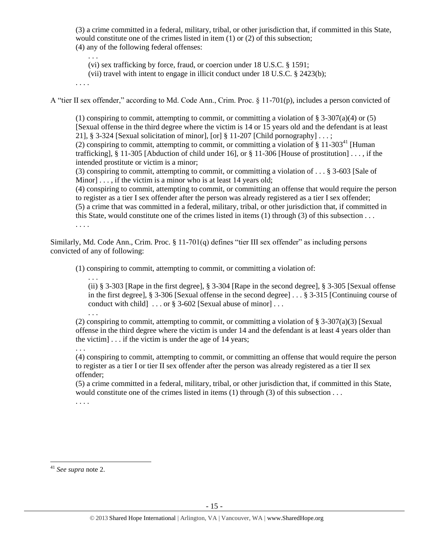(3) a crime committed in a federal, military, tribal, or other jurisdiction that, if committed in this State, would constitute one of the crimes listed in item (1) or (2) of this subsection; (4) any of the following federal offenses:

. . .

(vi) sex trafficking by force, fraud, or coercion under 18 U.S.C. § 1591;

(vii) travel with intent to engage in illicit conduct under 18 U.S.C. § 2423(b);

. . . .

A "tier II sex offender," according to Md. Code Ann., Crim. Proc. § 11-701(p), includes a person convicted of

(1) conspiring to commit, attempting to commit, or committing a violation of  $\S 3-307(a)(4)$  or (5) [Sexual offense in the third degree where the victim is 14 or 15 years old and the defendant is at least 21], § 3-324 [Sexual solicitation of minor], [or] § 11-207 [Child pornography]  $\dots$ ; (2) conspiring to commit, attempting to commit, or committing a violation of  $\S 11-303<sup>41</sup>$  [Human] trafficking], § 11-305 [Abduction of child under 16], or § 11-306 [House of prostitution] . . . , if the intended prostitute or victim is a minor;

(3) conspiring to commit, attempting to commit, or committing a violation of . . . § 3-603 [Sale of Minor]  $\ldots$ , if the victim is a minor who is at least 14 years old;

(4) conspiring to commit, attempting to commit, or committing an offense that would require the person to register as a tier I sex offender after the person was already registered as a tier I sex offender; (5) a crime that was committed in a federal, military, tribal, or other jurisdiction that, if committed in this State, would constitute one of the crimes listed in items (1) through (3) of this subsection . . . . . . .

Similarly, Md. Code Ann., Crim. Proc. § 11-701(q) defines "tier III sex offender" as including persons convicted of any of following:

(1) conspiring to commit, attempting to commit, or committing a violation of:

. . . (ii) § 3-303 [Rape in the first degree], § 3-304 [Rape in the second degree], § 3-305 [Sexual offense in the first degree], § 3-306 [Sexual offense in the second degree] . . . § 3-315 [Continuing course of conduct with child  $\ldots$  or § 3-602 [Sexual abuse of minor]...

(2) conspiring to commit, attempting to commit, or committing a violation of  $\S$  3-307(a)(3) [Sexual offense in the third degree where the victim is under 14 and the defendant is at least 4 years older than the victim] . . . if the victim is under the age of 14 years;

(4) conspiring to commit, attempting to commit, or committing an offense that would require the person to register as a tier I or tier II sex offender after the person was already registered as a tier II sex offender;

(5) a crime committed in a federal, military, tribal, or other jurisdiction that, if committed in this State, would constitute one of the crimes listed in items  $(1)$  through  $(3)$  of this subsection ... . . . .

 $\overline{a}$ 

. . .

. . .

<sup>41</sup> *See supra* note [2.](#page-0-0)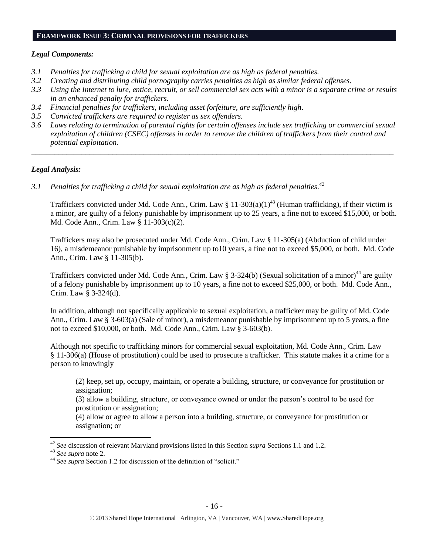#### **FRAMEWORK ISSUE 3: CRIMINAL PROVISIONS FOR TRAFFICKERS**

#### *Legal Components:*

- *3.1 Penalties for trafficking a child for sexual exploitation are as high as federal penalties.*
- *3.2 Creating and distributing child pornography carries penalties as high as similar federal offenses.*
- *3.3 Using the Internet to lure, entice, recruit, or sell commercial sex acts with a minor is a separate crime or results in an enhanced penalty for traffickers.*
- *3.4 Financial penalties for traffickers, including asset forfeiture, are sufficiently high*.
- *3.5 Convicted traffickers are required to register as sex offenders.*
- *3.6 Laws relating to termination of parental rights for certain offenses include sex trafficking or commercial sexual exploitation of children (CSEC) offenses in order to remove the children of traffickers from their control and potential exploitation.*

*\_\_\_\_\_\_\_\_\_\_\_\_\_\_\_\_\_\_\_\_\_\_\_\_\_\_\_\_\_\_\_\_\_\_\_\_\_\_\_\_\_\_\_\_\_\_\_\_\_\_\_\_\_\_\_\_\_\_\_\_\_\_\_\_\_\_\_\_\_\_\_\_\_\_\_\_\_\_\_\_\_\_\_\_\_\_\_\_\_\_\_\_\_\_*

## *Legal Analysis:*

*3.1 Penalties for trafficking a child for sexual exploitation are as high as federal penalties. 42*

Traffickers convicted under Md. Code Ann., Crim. Law § 11-303(a)(1)<sup>43</sup> (Human trafficking), if their victim is a minor, are guilty of a felony punishable by imprisonment up to 25 years, a fine not to exceed \$15,000, or both. Md. Code Ann., Crim. Law § 11-303(c)(2).

Traffickers may also be prosecuted under Md. Code Ann., Crim. Law § 11-305(a) (Abduction of child under 16), a misdemeanor punishable by imprisonment up to10 years, a fine not to exceed \$5,000, or both. Md. Code Ann., Crim. Law § 11-305(b).

Traffickers convicted under Md. Code Ann., Crim. Law § 3-324(b) (Sexual solicitation of a minor)<sup>44</sup> are guilty of a felony punishable by imprisonment up to 10 years, a fine not to exceed \$25,000, or both. Md. Code Ann., Crim. Law § 3-324(d).

In addition, although not specifically applicable to sexual exploitation, a trafficker may be guilty of Md. Code Ann., Crim. Law § 3-603(a) (Sale of minor), a misdemeanor punishable by imprisonment up to 5 years, a fine not to exceed \$10,000, or both. Md. Code Ann., Crim. Law § 3-603(b).

Although not specific to trafficking minors for commercial sexual exploitation, Md. Code Ann., Crim. Law § 11-306(a) (House of prostitution) could be used to prosecute a trafficker. This statute makes it a crime for a person to knowingly

(2) keep, set up, occupy, maintain, or operate a building, structure, or conveyance for prostitution or assignation;

(3) allow a building, structure, or conveyance owned or under the person's control to be used for prostitution or assignation;

(4) allow or agree to allow a person into a building, structure, or conveyance for prostitution or assignation; or

 $\overline{a}$ <sup>42</sup> *See* discussion of relevant Maryland provisions listed in this Section *supra* Sections 1.1 and 1.2.

<sup>43</sup> *See supra* note [2.](#page-0-0)

<sup>&</sup>lt;sup>44</sup> See supra Section 1.2 for discussion of the definition of "solicit."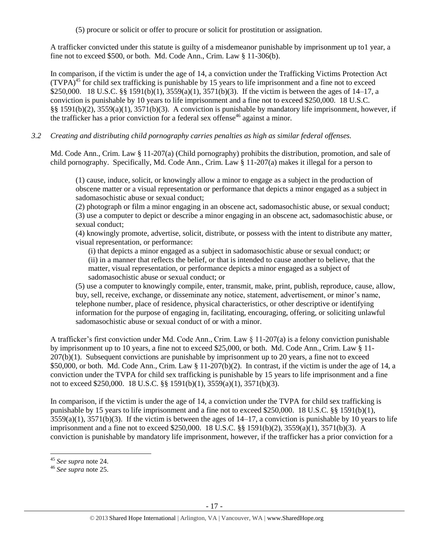(5) procure or solicit or offer to procure or solicit for prostitution or assignation.

A trafficker convicted under this statute is guilty of a misdemeanor punishable by imprisonment up to1 year, a fine not to exceed \$500, or both. Md. Code Ann., Crim. Law § 11-306(b).

In comparison, if the victim is under the age of 14, a conviction under the Trafficking Victims Protection Act  $(TVPA)^{45}$  for child sex trafficking is punishable by 15 years to life imprisonment and a fine not to exceed \$250,000. 18 U.S.C. §§ 1591(b)(1), 3559(a)(1), 3571(b)(3). If the victim is between the ages of 14–17, a conviction is punishable by 10 years to life imprisonment and a fine not to exceed \$250,000. 18 U.S.C. §§ 1591(b)(2), 3559(a)(1), 3571(b)(3). A conviction is punishable by mandatory life imprisonment, however, if the trafficker has a prior conviction for a federal sex offense<sup>46</sup> against a minor.

## *3.2 Creating and distributing child pornography carries penalties as high as similar federal offenses.*

Md. Code Ann., Crim. Law § 11-207(a) (Child pornography) prohibits the distribution, promotion, and sale of child pornography. Specifically, Md. Code Ann., Crim. Law § 11-207(a) makes it illegal for a person to

(1) cause, induce, solicit, or knowingly allow a minor to engage as a subject in the production of obscene matter or a visual representation or performance that depicts a minor engaged as a subject in sadomasochistic abuse or sexual conduct;

(2) photograph or film a minor engaging in an obscene act, sadomasochistic abuse, or sexual conduct; (3) use a computer to depict or describe a minor engaging in an obscene act, sadomasochistic abuse, or sexual conduct;

(4) knowingly promote, advertise, solicit, distribute, or possess with the intent to distribute any matter, visual representation, or performance:

(i) that depicts a minor engaged as a subject in sadomasochistic abuse or sexual conduct; or (ii) in a manner that reflects the belief, or that is intended to cause another to believe, that the matter, visual representation, or performance depicts a minor engaged as a subject of sadomasochistic abuse or sexual conduct; or

(5) use a computer to knowingly compile, enter, transmit, make, print, publish, reproduce, cause, allow, buy, sell, receive, exchange, or disseminate any notice, statement, advertisement, or minor's name, telephone number, place of residence, physical characteristics, or other descriptive or identifying information for the purpose of engaging in, facilitating, encouraging, offering, or soliciting unlawful sadomasochistic abuse or sexual conduct of or with a minor.

A trafficker's first conviction under Md. Code Ann., Crim. Law § 11-207(a) is a felony conviction punishable by imprisonment up to 10 years, a fine not to exceed \$25,000, or both. Md. Code Ann., Crim. Law § 11- 207(b)(1). Subsequent convictions are punishable by imprisonment up to 20 years, a fine not to exceed \$50,000, or both. Md. Code Ann., Crim. Law § 11-207(b)(2). In contrast, if the victim is under the age of 14, a conviction under the TVPA for child sex trafficking is punishable by 15 years to life imprisonment and a fine not to exceed \$250,000. 18 U.S.C. §§ 1591(b)(1), 3559(a)(1), 3571(b)(3).

In comparison, if the victim is under the age of 14, a conviction under the TVPA for child sex trafficking is punishable by 15 years to life imprisonment and a fine not to exceed \$250,000. 18 U.S.C. §§ 1591(b)(1),  $3559(a)(1)$ ,  $3571(b)(3)$ . If the victim is between the ages of  $14-17$ , a conviction is punishable by 10 years to life imprisonment and a fine not to exceed \$250,000. 18 U.S.C. §§ 1591(b)(2), 3559(a)(1), 3571(b)(3). A conviction is punishable by mandatory life imprisonment, however, if the trafficker has a prior conviction for a

l

<sup>45</sup> *See supra* note [24.](#page-9-0)

<sup>46</sup> *See supra* note [25.](#page-9-1)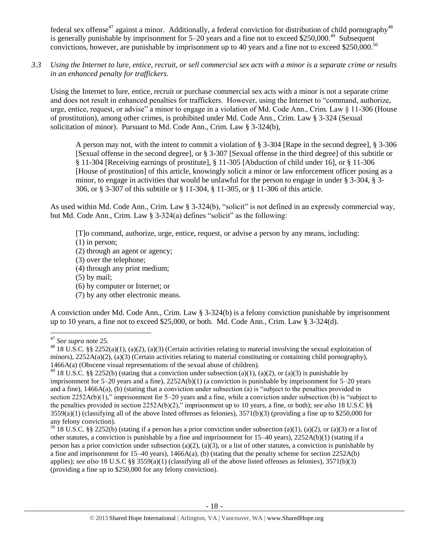federal sex offense<sup>47</sup> against a minor. Additionally, a federal conviction for distribution of child pornography<sup>48</sup> is generally punishable by imprisonment for 5–20 years and a fine not to exceed \$250,000.<sup>49</sup> Subsequent convictions, however, are punishable by imprisonment up to 40 years and a fine not to exceed \$250,000.<sup>50</sup>

*3.3 Using the Internet to lure, entice, recruit, or sell commercial sex acts with a minor is a separate crime or results in an enhanced penalty for traffickers.*

Using the Internet to lure, entice, recruit or purchase commercial sex acts with a minor is not a separate crime and does not result in enhanced penalties for traffickers. However, using the Internet to "command, authorize, urge, entice, request, or advise" a minor to engage in a violation of Md. Code Ann., Crim. Law § 11-306 (House of prostitution), among other crimes, is prohibited under Md. Code Ann., Crim. Law § 3-324 (Sexual solicitation of minor). Pursuant to Md. Code Ann., Crim. Law § 3-324(b),

A person may not, with the intent to commit a violation of § 3-304 [Rape in the second degree], § 3-306 [Sexual offense in the second degree], or § 3-307 [Sexual offense in the third degree] of this subtitle or § 11-304 [Receiving earnings of prostitute], § 11-305 [Abduction of child under 16], or § 11-306 [House of prostitution] of this article, knowingly solicit a minor or law enforcement officer posing as a minor, to engage in activities that would be unlawful for the person to engage in under § 3-304, § 3- 306, or § 3-307 of this subtitle or § 11-304, § 11-305, or § 11-306 of this article.

As used within Md. Code Ann., Crim. Law § 3-324(b), "solicit" is not defined in an expressly commercial way, but Md. Code Ann., Crim. Law § 3-324(a) defines "solicit" as the following:

[T]o command, authorize, urge, entice, request, or advise a person by any means, including:

(1) in person;

- (2) through an agent or agency;
- (3) over the telephone;
- (4) through any print medium;
- (5) by mail;
- (6) by computer or Internet; or
- (7) by any other electronic means.

A conviction under Md. Code Ann., Crim. Law § 3-324(b) is a felony conviction punishable by imprisonment up to 10 years, a fine not to exceed \$25,000, or both. Md. Code Ann., Crim. Law  $\S 3-324(d)$ .

l

<sup>47</sup> *See supra* note [25.](#page-9-1)

<sup>&</sup>lt;sup>48</sup> 18 U.S.C. §§ 2252(a)(1), (a)(2), (a)(3) (Certain activities relating to material involving the sexual exploitation of minors),  $2252A(a)(2)$ , (a)(3) (Certain activities relating to material constituting or containing child pornography), 1466A(a) (Obscene visual representations of the sexual abuse of children).

<sup>&</sup>lt;sup>49</sup> 18 U.S.C. §§ 2252(b) (stating that a conviction under subsection (a)(1), (a)(2), or (a)(3) is punishable by imprisonment for 5–20 years and a fine), 2252A(b)(1) (a conviction is punishable by imprisonment for 5–20 years and a fine), 1466A(a), (b) (stating that a conviction under subsection (a) is "subject to the penalties provided in section 2252A(b)(1)," imprisonment for 5–20 years and a fine, while a conviction under subsection (b) is "subject to the penalties provided in section 2252A(b)(2)," imprisonment up to 10 years, a fine, or both); *see also* 18 U.S.C §§  $3559(a)(1)$  (classifying all of the above listed offenses as felonies),  $3571(b)(3)$  (providing a fine up to \$250,000 for any felony conviction).

<sup>&</sup>lt;sup>50</sup> 18 U.S.C. §§ 2252(b) (stating if a person has a prior conviction under subsection (a)(1), (a)(2), or (a)(3) or a list of other statutes, a conviction is punishable by a fine and imprisonment for  $15-40$  years),  $2252A(b)(1)$  (stating if a person has a prior conviction under subsection (a)(2), (a)(3), or a list of other statutes, a conviction is punishable by a fine and imprisonment for  $15-40$  years),  $1466A(a)$ , (b) (stating that the penalty scheme for section  $2252A(b)$ applies); *see also* 18 U.S.C §§ 3559(a)(1) (classifying all of the above listed offenses as felonies), 3571(b)(3) (providing a fine up to \$250,000 for any felony conviction).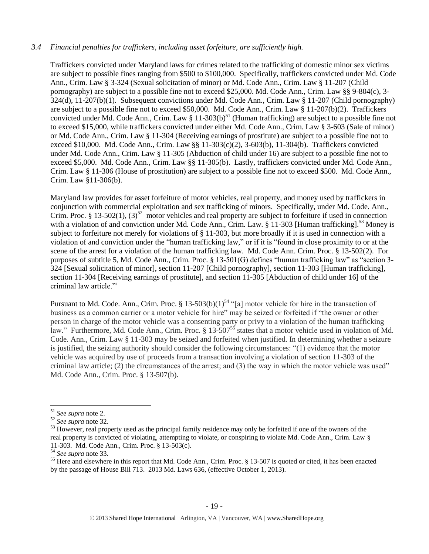#### *3.4 Financial penalties for traffickers, including asset forfeiture, are sufficiently high.*

Traffickers convicted under Maryland laws for crimes related to the trafficking of domestic minor sex victims are subject to possible fines ranging from \$500 to \$100,000. Specifically, traffickers convicted under Md. Code Ann., Crim. Law § 3-324 (Sexual solicitation of minor) or Md. Code Ann., Crim. Law § 11-207 (Child pornography) are subject to a possible fine not to exceed \$25,000. Md. Code Ann., Crim. Law §§ 9-804(c), 3- 324(d), 11-207(b)(1). Subsequent convictions under Md. Code Ann., Crim. Law § 11-207 (Child pornography) are subject to a possible fine not to exceed \$50,000. Md. Code Ann., Crim. Law § 11-207(b)(2). Traffickers convicted under Md. Code Ann., Crim. Law  $\S 11-303(b)^{51}$  (Human trafficking) are subject to a possible fine not to exceed \$15,000, while traffickers convicted under either Md. Code Ann., Crim. Law § 3-603 (Sale of minor) or Md. Code Ann., Crim. Law § 11-304 (Receiving earnings of prostitute) are subject to a possible fine not to exceed \$10,000. Md. Code Ann., Crim. Law §§ 11-303(c)(2), 3-603(b), 11-304(b). Traffickers convicted under Md. Code Ann., Crim. Law § 11-305 (Abduction of child under 16) are subject to a possible fine not to exceed \$5,000. Md. Code Ann., Crim. Law §§ 11-305(b). Lastly, traffickers convicted under Md. Code Ann., Crim. Law § 11-306 (House of prostitution) are subject to a possible fine not to exceed \$500. Md. Code Ann., Crim. Law §11-306(b).

<span id="page-18-1"></span><span id="page-18-0"></span>Maryland law provides for asset forfeiture of motor vehicles, real property, and money used by traffickers in conjunction with commercial exploitation and sex trafficking of minors. Specifically, under Md. Code. Ann., Crim. Proc. § 13-502(1),  $(3)^{52}$  motor vehicles and real property are subject to forfeiture if used in connection with a violation of and conviction under Md. Code Ann., Crim. Law. § 11-303 [Human trafficking].<sup>53</sup> Money is subject to forfeiture not merely for violations of § 11-303, but more broadly if it is used in connection with a violation of and conviction under the "human trafficking law," or if it is "found in close proximity to or at the scene of the arrest for a violation of the human trafficking law. Md. Code Ann. Crim. Proc. § 13-502(2). For purposes of subtitle 5, Md. Code Ann., Crim. Proc. § 13-501(G) defines "human trafficking law" as "section 3- 324 [Sexual solicitation of minor], section 11-207 [Child pornography], section 11-303 [Human trafficking], section 11-304 [Receiving earnings of prostitute], and section 11-305 [Abduction of child under 16] of the criminal law article."\

<span id="page-18-3"></span><span id="page-18-2"></span>Pursuant to Md. Code. Ann., Crim. Proc. § 13-503(b)(1)<sup>54</sup> "[a] motor vehicle for hire in the transaction of business as a common carrier or a motor vehicle for hire" may be seized or forfeited if "the owner or other person in charge of the motor vehicle was a consenting party or privy to a violation of the human trafficking law." Furthermore, Md. Code Ann., Crim. Proc. § 13-507<sup>55</sup> states that a motor vehicle used in violation of Md. Code. Ann., Crim. Law § 11-303 may be seized and forfeited when justified. In determining whether a seizure is justified, the seizing authority should consider the following circumstances: "(1) evidence that the motor vehicle was acquired by use of proceeds from a transaction involving a violation of section 11-303 of the criminal law article; (2) the circumstances of the arrest; and (3) the way in which the motor vehicle was used" Md. Code Ann., Crim. Proc. § 13-507(b).

 $\overline{a}$ 

<sup>51</sup> *See supra* note [2.](#page-0-0)

<sup>52</sup> *See supra* note [32.](#page-11-0)

<sup>&</sup>lt;sup>53</sup> However, real property used as the principal family residence may only be forfeited if one of the owners of the real property is convicted of violating, attempting to violate, or conspiring to violate Md. Code Ann., Crim. Law § 11-303. Md. Code Ann., Crim. Proc. § 13-503(c).

<sup>54</sup> *See supra* note [33.](#page-11-1)

<sup>&</sup>lt;sup>55</sup> Here and elsewhere in this report that Md. Code Ann., Crim. Proc. § 13-507 is quoted or cited, it has been enacted by the passage of House Bill 713. 2013 Md. Laws 636, (effective October 1, 2013).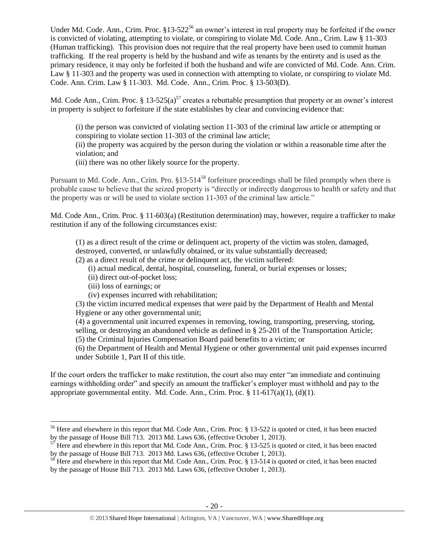<span id="page-19-0"></span>Under Md. Code. Ann., Crim. Proc. §13-522<sup>56</sup> an owner's interest in real property may be forfeited if the owner is convicted of violating, attempting to violate, or conspiring to violate Md. Code. Ann., Crim. Law § 11-303 (Human trafficking). This provision does not require that the real property have been used to commit human trafficking. If the real property is held by the husband and wife as tenants by the entirety and is used as the primary residence, it may only be forfeited if both the husband and wife are convicted of Md. Code. Ann. Crim. Law § 11-303 and the property was used in connection with attempting to violate, or conspiring to violate Md. Code. Ann. Crim. Law § 11-303. Md. Code. Ann., Crim. Proc. § 13-503(D).

Md. Code Ann., Crim. Proc.  $\S 13-525(a)^{57}$  creates a rebuttable presumption that property or an owner's interest in property is subject to forfeiture if the state establishes by clear and convincing evidence that:

<span id="page-19-1"></span>(i) the person was convicted of violating section 11-303 of the criminal law article or attempting or conspiring to violate section 11-303 of the criminal law article;

(ii) the property was acquired by the person during the violation or within a reasonable time after the violation; and

<span id="page-19-2"></span>(iii) there was no other likely source for the property.

Pursuant to Md. Code. Ann., Crim. Pro. §13-514<sup>58</sup> forfeiture proceedings shall be filed promptly when there is probable cause to believe that the seized property is "directly or indirectly dangerous to health or safety and that the property was or will be used to violate section 11-303 of the criminal law article."

Md. Code Ann., Crim. Proc. § 11-603(a) (Restitution determination) may, however, require a trafficker to make restitution if any of the following circumstances exist:

(1) as a direct result of the crime or delinquent act, property of the victim was stolen, damaged,

destroyed, converted, or unlawfully obtained, or its value substantially decreased;

(2) as a direct result of the crime or delinquent act, the victim suffered:

- (i) actual medical, dental, hospital, counseling, funeral, or burial expenses or losses;
- (ii) direct out-of-pocket loss;
- (iii) loss of earnings; or

 $\overline{\phantom{a}}$ 

(iv) expenses incurred with rehabilitation;

(3) the victim incurred medical expenses that were paid by the Department of Health and Mental Hygiene or any other governmental unit;

(4) a governmental unit incurred expenses in removing, towing, transporting, preserving, storing, selling, or destroying an abandoned vehicle as defined in § 25-201 of the Transportation Article; (5) the Criminal Injuries Compensation Board paid benefits to a victim; or

(6) the Department of Health and Mental Hygiene or other governmental unit paid expenses incurred under Subtitle 1, Part II of this title.

If the court orders the trafficker to make restitution, the court also may enter "an immediate and continuing earnings withholding order" and specify an amount the trafficker's employer must withhold and pay to the appropriate governmental entity. Md. Code. Ann., Crim. Proc.  $\S 11-617(a)(1)$ , (d)(1).

<sup>&</sup>lt;sup>56</sup> Here and elsewhere in this report that Md. Code Ann., Crim. Proc. § 13-522 is quoted or cited, it has been enacted by the passage of House Bill 713. 2013 Md. Laws 636, (effective October 1, 2013).

 $57$  Here and elsewhere in this report that Md. Code Ann., Crim. Proc. § 13-525 is quoted or cited, it has been enacted by the passage of House Bill 713. 2013 Md. Laws 636, (effective October 1, 2013).

 $58$  Here and elsewhere in this report that Md. Code Ann., Crim. Proc. § 13-514 is quoted or cited, it has been enacted by the passage of House Bill 713. 2013 Md. Laws 636, (effective October 1, 2013).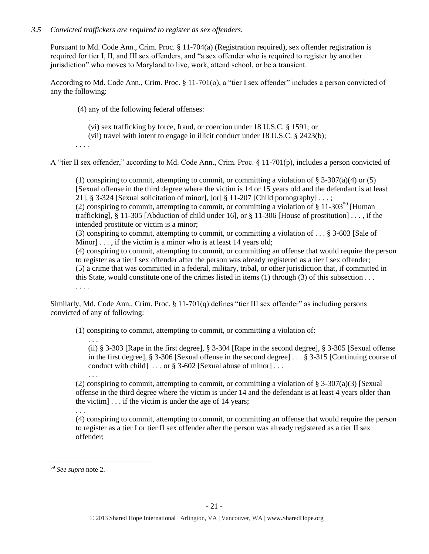## *3.5 Convicted traffickers are required to register as sex offenders.*

Pursuant to Md. Code Ann., Crim. Proc. § 11-704(a) (Registration required), sex offender registration is required for tier I, II, and III sex offenders, and "a sex offender who is required to register by another jurisdiction" who moves to Maryland to live, work, attend school, or be a transient.

According to Md. Code Ann., Crim. Proc. § 11-701(o), a "tier I sex offender" includes a person convicted of any the following:

(4) any of the following federal offenses:

. . . (vi) sex trafficking by force, fraud, or coercion under 18 U.S.C. § 1591; or

(vii) travel with intent to engage in illicit conduct under 18 U.S.C. § 2423(b);

. . . .

A "tier II sex offender," according to Md. Code Ann., Crim. Proc. § 11-701(p), includes a person convicted of

(1) conspiring to commit, attempting to commit, or committing a violation of  $\S 3-307(a)(4)$  or (5) [Sexual offense in the third degree where the victim is 14 or 15 years old and the defendant is at least 21], § 3-324 [Sexual solicitation of minor], [or] § 11-207 [Child pornography]  $\dots$ ;

(2) conspiring to commit, attempting to commit, or committing a violation of  $\S 11-303^{59}$  [Human] trafficking], § 11-305 [Abduction of child under 16], or § 11-306 [House of prostitution] . . . , if the intended prostitute or victim is a minor;

(3) conspiring to commit, attempting to commit, or committing a violation of . . . § 3-603 [Sale of Minor]  $\ldots$ , if the victim is a minor who is at least 14 years old;

(4) conspiring to commit, attempting to commit, or committing an offense that would require the person to register as a tier I sex offender after the person was already registered as a tier I sex offender; (5) a crime that was committed in a federal, military, tribal, or other jurisdiction that, if committed in this State, would constitute one of the crimes listed in items (1) through (3) of this subsection . . . . . . .

Similarly, Md. Code Ann., Crim. Proc. § 11-701(q) defines "tier III sex offender" as including persons convicted of any of following:

(1) conspiring to commit, attempting to commit, or committing a violation of:

(ii) § 3-303 [Rape in the first degree], § 3-304 [Rape in the second degree], § 3-305 [Sexual offense in the first degree], § 3-306 [Sexual offense in the second degree] . . . § 3-315 [Continuing course of conduct with child] . . . or § 3-602 [Sexual abuse of minor] . . .

(2) conspiring to commit, attempting to commit, or committing a violation of  $\S 3-307(a)(3)$  [Sexual] offense in the third degree where the victim is under 14 and the defendant is at least 4 years older than the victim]  $\ldots$  if the victim is under the age of 14 years;

(4) conspiring to commit, attempting to commit, or committing an offense that would require the person to register as a tier I or tier II sex offender after the person was already registered as a tier II sex offender;

 $\overline{a}$ 

. . .

. . .

. . .

<sup>59</sup> *See supra* note [2.](#page-0-0)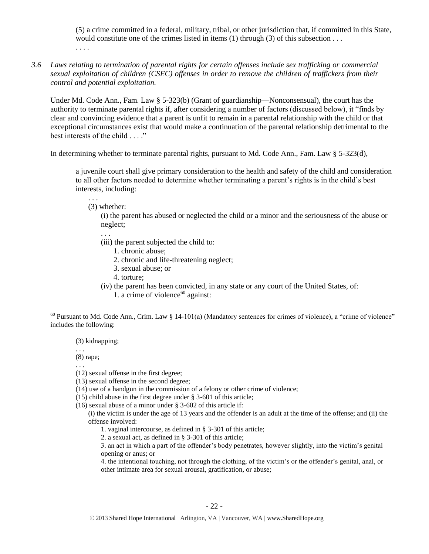(5) a crime committed in a federal, military, tribal, or other jurisdiction that, if committed in this State, would constitute one of the crimes listed in items (1) through (3) of this subsection . . .

- . . . .
- *3.6 Laws relating to termination of parental rights for certain offenses include sex trafficking or commercial sexual exploitation of children (CSEC) offenses in order to remove the children of traffickers from their control and potential exploitation.*

Under Md. Code Ann., Fam. Law § 5-323(b) (Grant of guardianship—Nonconsensual), the court has the authority to terminate parental rights if, after considering a number of factors (discussed below), it "finds by clear and convincing evidence that a parent is unfit to remain in a parental relationship with the child or that exceptional circumstances exist that would make a continuation of the parental relationship detrimental to the best interests of the child . . . ."

In determining whether to terminate parental rights, pursuant to Md. Code Ann., Fam. Law § 5-323(d),

a juvenile court shall give primary consideration to the health and safety of the child and consideration to all other factors needed to determine whether terminating a parent's rights is in the child's best interests, including:

(3) whether:

. . .

(i) the parent has abused or neglected the child or a minor and the seriousness of the abuse or neglect;

. . .

- (iii) the parent subjected the child to:
	- 1. chronic abuse;
	- 2. chronic and life-threatening neglect;
	- 3. sexual abuse; or
	- 4. torture;
- (iv) the parent has been convicted, in any state or any court of the United States, of:

1. a crime of violence $60$  against:

(3) kidnapping;

(8) rape;

. . .

. . .

 $\overline{a}$ 

- (13) sexual offense in the second degree;
- (14) use of a handgun in the commission of a felony or other crime of violence;
- (15) child abuse in the first degree under § 3-601 of this article;
- (16) sexual abuse of a minor under § 3-602 of this article if:
	- (i) the victim is under the age of 13 years and the offender is an adult at the time of the offense; and (ii) the offense involved:
		- 1. vaginal intercourse, as defined in § 3-301 of this article;
		- 2. a sexual act, as defined in § 3-301 of this article;

3. an act in which a part of the offender's body penetrates, however slightly, into the victim's genital opening or anus; or

4. the intentional touching, not through the clothing, of the victim's or the offender's genital, anal, or other intimate area for sexual arousal, gratification, or abuse;

 $60$  Pursuant to Md. Code Ann., Crim. Law § 14-101(a) (Mandatory sentences for crimes of violence), a "crime of violence" includes the following:

<sup>(12)</sup> sexual offense in the first degree;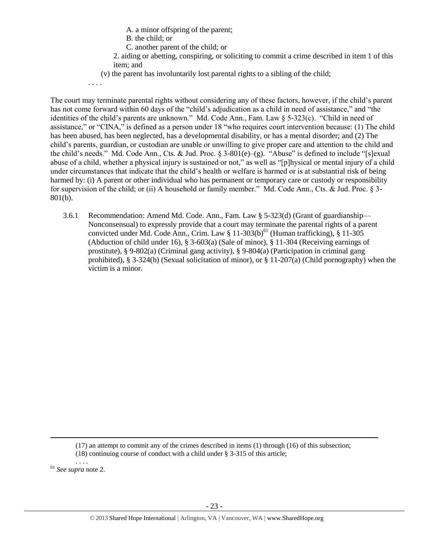A. a minor offspring of the parent;

| B. the child; or |  |
|------------------|--|
|------------------|--|

C. another parent of the child; or

2. aiding or abetting, conspiring, or soliciting to commit a crime described in item 1 of this item; and

(v) the parent has involuntarily lost parental rights to a sibling of the child;

. . . .

The court may terminate parental rights without considering any of these factors, however, if the child's parent has not come forward within 60 days of the "child's adjudication as a child in need of assistance," and "the identities of the child's parents are unknown." Md. Code Ann., Fam. Law § 5-323(c). "Child in need of assistance," or "CINA," is defined as a person under 18 "who requires court intervention because: (1) The child has been abused, has been neglected, has a developmental disability, or has a mental disorder; and (2) The child's parents, guardian, or custodian are unable or unwilling to give proper care and attention to the child and the child's needs." Md. Code Ann., Cts. & Jud. Proc.  $\S$  3-801(e)–(g). "Abuse" is defined to include "[s]exual abuse of a child, whether a physical injury is sustained or not," as well as "[p]hysical or mental injury of a child under circumstances that indicate that the child's health or welfare is harmed or is at substantial risk of being harmed by: (i) A parent or other individual who has permanent or temporary care or custody or responsibility for supervision of the child; or (ii) A household or family member." Md. Code Ann., Cts. & Jud. Proc. § 3- 801(b).

3.6.1 Recommendation: Amend Md. Code. Ann., Fam. Law § 5-323(d) (Grant of guardianship— Nonconsensual) to expressly provide that a court may terminate the parental rights of a parent convicted under Md. Code Ann., Crim. Law  $\S$  11-303(b)<sup>61</sup> (Human trafficking),  $\S$  11-305 (Abduction of child under 16), § 3-603(a) (Sale of minor), § 11-304 (Receiving earnings of prostitute), § 9-802(a) (Criminal gang activity), § 9-804(a) (Participation in criminal gang prohibited), § 3-324(b) (Sexual solicitation of minor), or § 11-207(a) (Child pornography) when the victim is a minor.

 $\overline{a}$ 

<sup>(17)</sup> an attempt to commit any of the crimes described in items (1) through (16) of this subsection;

<sup>(18)</sup> continuing course of conduct with a child under § 3-315 of this article; . . . .

<sup>61</sup> *See supra* note [2.](#page-0-0)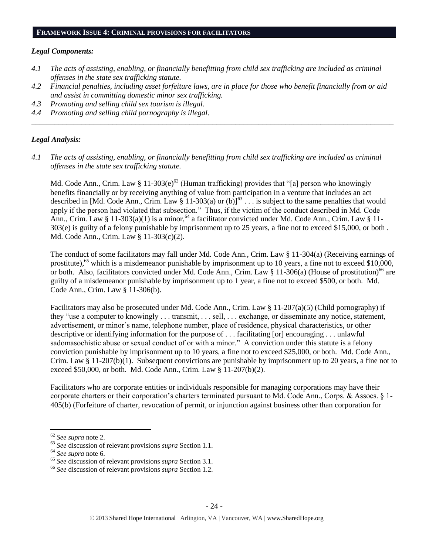#### **FRAMEWORK ISSUE 4: CRIMINAL PROVISIONS FOR FACILITATORS**

#### *Legal Components:*

- *4.1 The acts of assisting, enabling, or financially benefitting from child sex trafficking are included as criminal offenses in the state sex trafficking statute.*
- *4.2 Financial penalties, including asset forfeiture laws, are in place for those who benefit financially from or aid and assist in committing domestic minor sex trafficking.*

*\_\_\_\_\_\_\_\_\_\_\_\_\_\_\_\_\_\_\_\_\_\_\_\_\_\_\_\_\_\_\_\_\_\_\_\_\_\_\_\_\_\_\_\_\_\_\_\_\_\_\_\_\_\_\_\_\_\_\_\_\_\_\_\_\_\_\_\_\_\_\_\_\_\_\_\_\_\_\_\_\_\_\_\_\_\_\_\_\_\_\_\_\_\_*

- *4.3 Promoting and selling child sex tourism is illegal.*
- *4.4 Promoting and selling child pornography is illegal.*

#### *Legal Analysis:*

*4.1 The acts of assisting, enabling, or financially benefitting from child sex trafficking are included as criminal offenses in the state sex trafficking statute.*

Md. Code Ann., Crim. Law § 11-303(e)<sup>62</sup> (Human trafficking) provides that "[a] person who knowingly benefits financially or by receiving anything of value from participation in a venture that includes an act described in [Md. Code Ann., Crim. Law § 11-303(a) or (b)]<sup>63</sup> . . . is subject to the same penalties that would apply if the person had violated that subsection." Thus, if the victim of the conduct described in Md. Code Ann., Crim. Law § 11-303(a)(1) is a minor,  $64$  a facilitator convicted under Md. Code Ann., Crim. Law § 11-303(e) is guilty of a felony punishable by imprisonment up to 25 years, a fine not to exceed \$15,000, or both . Md. Code Ann., Crim. Law § 11-303(c)(2).

The conduct of some facilitators may fall under Md. Code Ann., Crim. Law § 11-304(a) (Receiving earnings of prostitute),<sup>65</sup> which is a misdemeanor punishable by imprisonment up to 10 years, a fine not to exceed \$10,000, or both. Also, facilitators convicted under Md. Code Ann., Crim. Law  $\S 11-306(a)$  (House of prostitution)<sup>66</sup> are guilty of a misdemeanor punishable by imprisonment up to 1 year, a fine not to exceed \$500, or both. Md. Code Ann., Crim. Law § 11-306(b).

Facilitators may also be prosecuted under Md. Code Ann., Crim. Law § 11-207(a)(5) (Child pornography) if they "use a computer to knowingly . . . transmit, . . . sell, . . . exchange, or disseminate any notice, statement, advertisement, or minor's name, telephone number, place of residence, physical characteristics, or other descriptive or identifying information for the purpose of . . . facilitating [or] encouraging . . . unlawful sadomasochistic abuse or sexual conduct of or with a minor." A conviction under this statute is a felony conviction punishable by imprisonment up to 10 years, a fine not to exceed \$25,000, or both. Md. Code Ann., Crim. Law  $\S 11-207(b)(1)$ . Subsequent convictions are punishable by imprisonment up to 20 years, a fine not to exceed \$50,000, or both. Md. Code Ann., Crim. Law § 11-207(b)(2).

Facilitators who are corporate entities or individuals responsible for managing corporations may have their corporate charters or their corporation's charters terminated pursuant to Md. Code Ann., Corps. & Assocs. § 1- 405(b) (Forfeiture of charter, revocation of permit, or injunction against business other than corporation for

<sup>62</sup> *See supra* note [2.](#page-0-0)

<sup>63</sup> *See* discussion of relevant provisions *supra* Section 1.1.

<sup>64</sup> *See supra* note [6.](#page-1-1)

<sup>65</sup> *See* discussion of relevant provisions *supra* Section 3.1.

<sup>66</sup> *See* discussion of relevant provisions *supra* Section 1.2.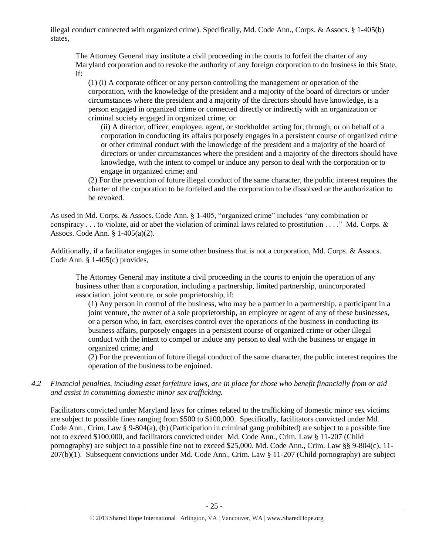illegal conduct connected with organized crime). Specifically, Md. Code Ann., Corps. & Assocs. § 1-405(b) states,

The Attorney General may institute a civil proceeding in the courts to forfeit the charter of any Maryland corporation and to revoke the authority of any foreign corporation to do business in this State, if:

(1) (i) A corporate officer or any person controlling the management or operation of the corporation, with the knowledge of the president and a majority of the board of directors or under circumstances where the president and a majority of the directors should have knowledge, is a person engaged in organized crime or connected directly or indirectly with an organization or criminal society engaged in organized crime; or

(ii) A director, officer, employee, agent, or stockholder acting for, through, or on behalf of a corporation in conducting its affairs purposely engages in a persistent course of organized crime or other criminal conduct with the knowledge of the president and a majority of the board of directors or under circumstances where the president and a majority of the directors should have knowledge, with the intent to compel or induce any person to deal with the corporation or to engage in organized crime; and

(2) For the prevention of future illegal conduct of the same character, the public interest requires the charter of the corporation to be forfeited and the corporation to be dissolved or the authorization to be revoked.

As used in Md. Corps. & Assocs. Code Ann. § 1-405, "organized crime" includes "any combination or conspiracy . . . to violate, aid or abet the violation of criminal laws related to prostitution . . . ." Md. Corps.  $\&$ Assocs. Code Ann. § 1-405(a)(2).

Additionally, if a facilitator engages in some other business that is not a corporation, Md. Corps. & Assocs. Code Ann. § 1-405(c) provides,

The Attorney General may institute a civil proceeding in the courts to enjoin the operation of any business other than a corporation, including a partnership, limited partnership, unincorporated association, joint venture, or sole proprietorship, if:

(1) Any person in control of the business, who may be a partner in a partnership, a participant in a joint venture, the owner of a sole proprietorship, an employee or agent of any of these businesses, or a person who, in fact, exercises control over the operations of the business in conducting its business affairs, purposely engages in a persistent course of organized crime or other illegal conduct with the intent to compel or induce any person to deal with the business or engage in organized crime; and

(2) For the prevention of future illegal conduct of the same character, the public interest requires the operation of the business to be enjoined.

*4.2 Financial penalties, including asset forfeiture laws, are in place for those who benefit financially from or aid and assist in committing domestic minor sex trafficking.*

Facilitators convicted under Maryland laws for crimes related to the trafficking of domestic minor sex victims are subject to possible fines ranging from \$500 to \$100,000. Specifically, facilitators convicted under Md. Code Ann., Crim. Law § 9-804(a), (b) (Participation in criminal gang prohibited) are subject to a possible fine not to exceed \$100,000, and facilitators convicted under Md. Code Ann., Crim. Law § 11-207 (Child pornography) are subject to a possible fine not to exceed \$25,000. Md. Code Ann., Crim. Law §§ 9-804(c), 11- 207(b)(1). Subsequent convictions under Md. Code Ann., Crim. Law § 11-207 (Child pornography) are subject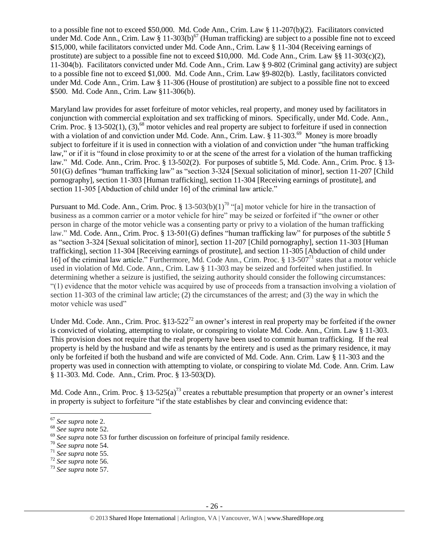to a possible fine not to exceed \$50,000. Md. Code Ann., Crim. Law § 11-207(b)(2). Facilitators convicted under Md. Code Ann., Crim. Law § 11-303(b)<sup>67</sup> (Human trafficking) are subject to a possible fine not to exceed \$15,000, while facilitators convicted under Md. Code Ann., Crim. Law § 11-304 (Receiving earnings of prostitute) are subject to a possible fine not to exceed \$10,000. Md. Code Ann., Crim. Law §§ 11-303(c)(2), 11-304(b). Facilitators convicted under Md. Code Ann., Crim. Law § 9-802 (Criminal gang activity) are subject to a possible fine not to exceed \$1,000. Md. Code Ann., Crim. Law §9-802(b). Lastly, facilitators convicted under Md. Code Ann., Crim. Law § 11-306 (House of prostitution) are subject to a possible fine not to exceed \$500. Md. Code Ann., Crim. Law §11-306(b).

Maryland law provides for asset forfeiture of motor vehicles, real property, and money used by facilitators in conjunction with commercial exploitation and sex trafficking of minors. Specifically, under Md. Code. Ann., Crim. Proc. § 13-502(1), (3),<sup>68</sup> motor vehicles and real property are subject to forfeiture if used in connection with a violation of and conviction under Md. Code. Ann., Crim. Law. § 11-303.<sup>69</sup> Money is more broadly subject to forfeiture if it is used in connection with a violation of and conviction under "the human trafficking law," or if it is "found in close proximity to or at the scene of the arrest for a violation of the human trafficking law." Md. Code. Ann., Crim. Proc. § 13-502(2). For purposes of subtitle 5, Md. Code. Ann., Crim. Proc. § 13- 501(G) defines "human trafficking law" as "section 3-324 [Sexual solicitation of minor], section 11-207 [Child pornography], section 11-303 [Human trafficking], section 11-304 [Receiving earnings of prostitute], and section 11-305 [Abduction of child under 16] of the criminal law article."

Pursuant to Md. Code. Ann., Crim. Proc. § 13-503(b)(1)<sup>70</sup> "[a] motor vehicle for hire in the transaction of business as a common carrier or a motor vehicle for hire" may be seized or forfeited if "the owner or other person in charge of the motor vehicle was a consenting party or privy to a violation of the human trafficking law." Md. Code. Ann., Crim. Proc. § 13-501(G) defines "human trafficking law" for purposes of the subtitle 5 as "section 3-324 [Sexual solicitation of minor], section 11-207 [Child pornography], section 11-303 [Human trafficking], section 11-304 [Receiving earnings of prostitute], and section 11-305 [Abduction of child under 16] of the criminal law article." Furthermore, Md. Code Ann., Crim. Proc. § 13-507<sup>71</sup> states that a motor vehicle used in violation of Md. Code. Ann., Crim. Law § 11-303 may be seized and forfeited when justified. In determining whether a seizure is justified, the seizing authority should consider the following circumstances: "(1) evidence that the motor vehicle was acquired by use of proceeds from a transaction involving a violation of section 11-303 of the criminal law article; (2) the circumstances of the arrest; and (3) the way in which the motor vehicle was used"

Under Md. Code. Ann., Crim. Proc.  $§13-522^{72}$  an owner's interest in real property may be forfeited if the owner is convicted of violating, attempting to violate, or conspiring to violate Md. Code. Ann., Crim. Law § 11-303. This provision does not require that the real property have been used to commit human trafficking. If the real property is held by the husband and wife as tenants by the entirety and is used as the primary residence, it may only be forfeited if both the husband and wife are convicted of Md. Code. Ann. Crim. Law § 11-303 and the property was used in connection with attempting to violate, or conspiring to violate Md. Code. Ann. Crim. Law § 11-303. Md. Code. Ann., Crim. Proc. § 13-503(D).

Md. Code Ann., Crim. Proc.  $\S 13-525(a)^{73}$  creates a rebuttable presumption that property or an owner's interest in property is subject to forfeiture "if the state establishes by clear and convincing evidence that:

<sup>67</sup> *See supra* note [2.](#page-0-0)

<sup>68</sup> *See supra* note [52.](#page-18-0)

<sup>69</sup> *See supra* note [53](#page-18-1) for further discussion on forfeiture of principal family residence.

<sup>70</sup> *See supra* note [54.](#page-18-2)

<sup>71</sup> *See supra* note [55.](#page-18-3)

<sup>72</sup> *See supra* note [56.](#page-19-0)

<sup>73</sup> *See supra* note [57.](#page-19-1)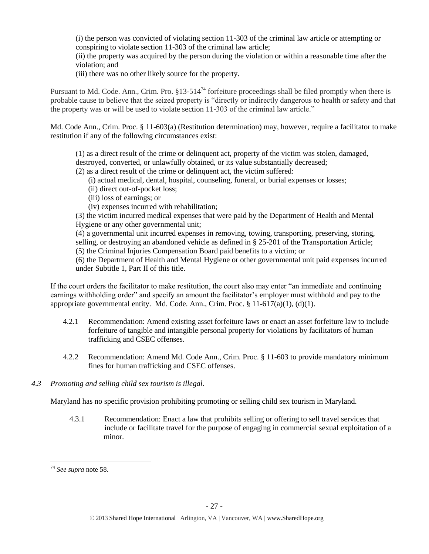(i) the person was convicted of violating section 11-303 of the criminal law article or attempting or conspiring to violate section 11-303 of the criminal law article;

(ii) the property was acquired by the person during the violation or within a reasonable time after the violation; and

(iii) there was no other likely source for the property.

Pursuant to Md. Code. Ann., Crim. Pro.  $§13-514^{74}$  forfeiture proceedings shall be filed promptly when there is probable cause to believe that the seized property is "directly or indirectly dangerous to health or safety and that the property was or will be used to violate section 11-303 of the criminal law article."

Md. Code Ann., Crim. Proc. § 11-603(a) (Restitution determination) may, however, require a facilitator to make restitution if any of the following circumstances exist:

(1) as a direct result of the crime or delinquent act, property of the victim was stolen, damaged, destroyed, converted, or unlawfully obtained, or its value substantially decreased;

(2) as a direct result of the crime or delinquent act, the victim suffered:

- (i) actual medical, dental, hospital, counseling, funeral, or burial expenses or losses;
- (ii) direct out-of-pocket loss;
- (iii) loss of earnings; or
- (iv) expenses incurred with rehabilitation;

(3) the victim incurred medical expenses that were paid by the Department of Health and Mental Hygiene or any other governmental unit;

(4) a governmental unit incurred expenses in removing, towing, transporting, preserving, storing, selling, or destroying an abandoned vehicle as defined in § 25-201 of the Transportation Article; (5) the Criminal Injuries Compensation Board paid benefits to a victim; or

(6) the Department of Health and Mental Hygiene or other governmental unit paid expenses incurred under Subtitle 1, Part II of this title.

If the court orders the facilitator to make restitution, the court also may enter "an immediate and continuing earnings withholding order" and specify an amount the facilitator's employer must withhold and pay to the appropriate governmental entity. Md. Code. Ann., Crim. Proc.  $\S 11-617(a)(1)$ , (d)(1).

- 4.2.1 Recommendation: Amend existing asset forfeiture laws or enact an asset forfeiture law to include forfeiture of tangible and intangible personal property for violations by facilitators of human trafficking and CSEC offenses.
- 4.2.2 Recommendation: Amend Md. Code Ann., Crim. Proc. § 11-603 to provide mandatory minimum fines for human trafficking and CSEC offenses.
- *4.3 Promoting and selling child sex tourism is illegal*.

Maryland has no specific provision prohibiting promoting or selling child sex tourism in Maryland.

4.3.1 Recommendation: Enact a law that prohibits selling or offering to sell travel services that include or facilitate travel for the purpose of engaging in commercial sexual exploitation of a minor.

 $\overline{a}$ <sup>74</sup> *See supra* note [58.](#page-19-2)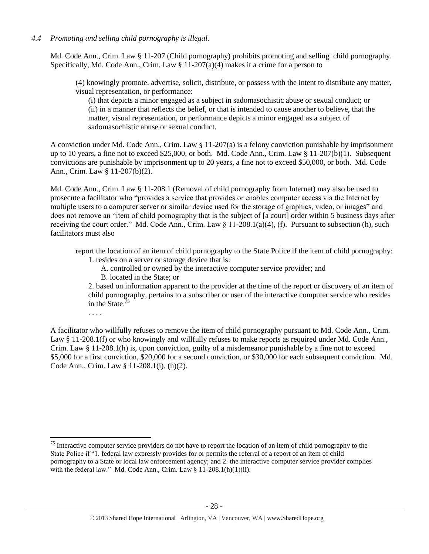## *4.4 Promoting and selling child pornography is illegal.*

Md. Code Ann., Crim. Law § 11-207 (Child pornography) prohibits promoting and selling child pornography. Specifically, Md. Code Ann., Crim. Law  $\S$  11-207(a)(4) makes it a crime for a person to

(4) knowingly promote, advertise, solicit, distribute, or possess with the intent to distribute any matter, visual representation, or performance:

(i) that depicts a minor engaged as a subject in sadomasochistic abuse or sexual conduct; or (ii) in a manner that reflects the belief, or that is intended to cause another to believe, that the matter, visual representation, or performance depicts a minor engaged as a subject of sadomasochistic abuse or sexual conduct.

A conviction under Md. Code Ann., Crim. Law § 11-207(a) is a felony conviction punishable by imprisonment up to 10 years, a fine not to exceed \$25,000, or both. Md. Code Ann., Crim. Law § 11-207(b)(1). Subsequent convictions are punishable by imprisonment up to 20 years, a fine not to exceed \$50,000, or both. Md. Code Ann., Crim. Law § 11-207(b)(2).

Md. Code Ann., Crim. Law § 11-208.1 (Removal of child pornography from Internet) may also be used to prosecute a facilitator who "provides a service that provides or enables computer access via the Internet by multiple users to a computer server or similar device used for the storage of graphics, video, or images" and does not remove an "item of child pornography that is the subject of [a court] order within 5 business days after receiving the court order." Md. Code Ann., Crim. Law § 11-208.1(a)(4), (f). Pursuant to subsection (h), such facilitators must also

report the location of an item of child pornography to the State Police if the item of child pornography:

- 1. resides on a server or storage device that is:
	- A. controlled or owned by the interactive computer service provider; and
	- B. located in the State; or

2. based on information apparent to the provider at the time of the report or discovery of an item of child pornography, pertains to a subscriber or user of the interactive computer service who resides in the State.<sup>75</sup>

. . . .

 $\overline{a}$ 

A facilitator who willfully refuses to remove the item of child pornography pursuant to Md. Code Ann., Crim. Law § 11-208.1(f) or who knowingly and willfully refuses to make reports as required under Md. Code Ann., Crim. Law § 11-208.1(h) is, upon conviction, guilty of a misdemeanor punishable by a fine not to exceed \$5,000 for a first conviction, \$20,000 for a second conviction, or \$30,000 for each subsequent conviction. Md. Code Ann., Crim. Law § 11-208.1(i), (h)(2).

 $75$  Interactive computer service providers do not have to report the location of an item of child pornography to the State Police if "1. federal law expressly provides for or permits the referral of a report of an item of child pornography to a State or local law enforcement agency; and 2. the interactive computer service provider complies with the federal law." Md. Code Ann., Crim. Law §  $11-208.1(h)(1)(ii)$ .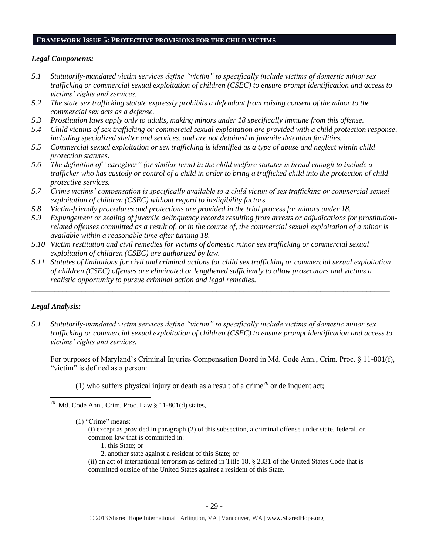#### **FRAMEWORK ISSUE 5: PROTECTIVE PROVISIONS FOR THE CHILD VICTIMS**

#### *Legal Components:*

- *5.1 Statutorily-mandated victim services define "victim" to specifically include victims of domestic minor sex trafficking or commercial sexual exploitation of children (CSEC) to ensure prompt identification and access to victims' rights and services.*
- *5.2 The state sex trafficking statute expressly prohibits a defendant from raising consent of the minor to the commercial sex acts as a defense.*
- *5.3 Prostitution laws apply only to adults, making minors under 18 specifically immune from this offense.*
- *5.4 Child victims of sex trafficking or commercial sexual exploitation are provided with a child protection response, including specialized shelter and services, and are not detained in juvenile detention facilities.*
- *5.5 Commercial sexual exploitation or sex trafficking is identified as a type of abuse and neglect within child protection statutes.*
- *5.6 The definition of "caregiver" (or similar term) in the child welfare statutes is broad enough to include a trafficker who has custody or control of a child in order to bring a trafficked child into the protection of child protective services.*
- *5.7 Crime victims' compensation is specifically available to a child victim of sex trafficking or commercial sexual exploitation of children (CSEC) without regard to ineligibility factors.*
- *5.8 Victim-friendly procedures and protections are provided in the trial process for minors under 18.*
- *5.9 Expungement or sealing of juvenile delinquency records resulting from arrests or adjudications for prostitutionrelated offenses committed as a result of, or in the course of, the commercial sexual exploitation of a minor is available within a reasonable time after turning 18.*
- *5.10 Victim restitution and civil remedies for victims of domestic minor sex trafficking or commercial sexual exploitation of children (CSEC) are authorized by law.*
- *5.11 Statutes of limitations for civil and criminal actions for child sex trafficking or commercial sexual exploitation of children (CSEC) offenses are eliminated or lengthened sufficiently to allow prosecutors and victims a realistic opportunity to pursue criminal action and legal remedies.*

*\_\_\_\_\_\_\_\_\_\_\_\_\_\_\_\_\_\_\_\_\_\_\_\_\_\_\_\_\_\_\_\_\_\_\_\_\_\_\_\_\_\_\_\_\_\_\_\_\_\_\_\_\_\_\_\_\_\_\_\_\_\_\_\_\_\_\_\_\_\_\_\_\_\_\_\_\_\_\_\_\_\_\_\_\_\_\_\_\_\_\_\_\_*

#### *Legal Analysis:*

 $\overline{\phantom{a}}$ 

*5.1 Statutorily-mandated victim services define "victim" to specifically include victims of domestic minor sex trafficking or commercial sexual exploitation of children (CSEC) to ensure prompt identification and access to victims' rights and services.*

For purposes of Maryland's Criminal Injuries Compensation Board in Md. Code Ann., Crim. Proc. § 11-801(f), "victim" is defined as a person:

(1) who suffers physical injury or death as a result of a crime<sup>76</sup> or delinquent act;

- 1. this State; or
- 2. another state against a resident of this State; or
- (ii) an act of international terrorism as defined in Title 18, § 2331 of the United States Code that is committed outside of the United States against a resident of this State.

<sup>&</sup>lt;sup>76</sup> Md. Code Ann., Crim. Proc. Law  $\S 11-801$ (d) states,

<sup>(1)</sup> "Crime" means:

<sup>(</sup>i) except as provided in paragraph (2) of this subsection, a criminal offense under state, federal, or common law that is committed in: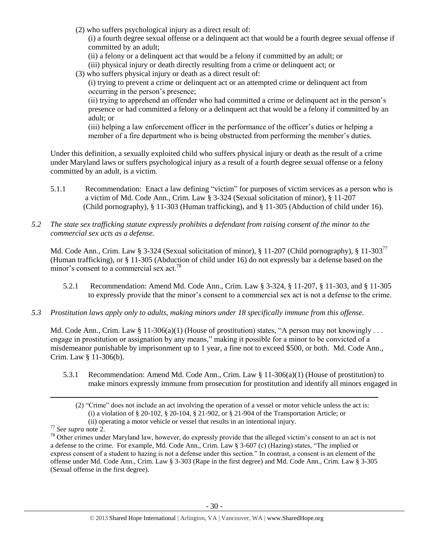(2) who suffers psychological injury as a direct result of:

(i) a fourth degree sexual offense or a delinquent act that would be a fourth degree sexual offense if committed by an adult;

(ii) a felony or a delinquent act that would be a felony if committed by an adult; or

- (iii) physical injury or death directly resulting from a crime or delinquent act; or
- (3) who suffers physical injury or death as a direct result of:

(i) trying to prevent a crime or delinquent act or an attempted crime or delinquent act from occurring in the person's presence;

(ii) trying to apprehend an offender who had committed a crime or delinquent act in the person's presence or had committed a felony or a delinquent act that would be a felony if committed by an adult; or

(iii) helping a law enforcement officer in the performance of the officer's duties or helping a member of a fire department who is being obstructed from performing the member's duties.

Under this definition, a sexually exploited child who suffers physical injury or death as the result of a crime under Maryland laws or suffers psychological injury as a result of a fourth degree sexual offense or a felony committed by an adult, is a victim.

- 5.1.1 Recommendation: Enact a law defining "victim" for purposes of victim services as a person who is a victim of Md. Code Ann., Crim. Law § 3-324 (Sexual solicitation of minor), § 11-207 (Child pornography), § 11-303 (Human trafficking), and § 11-305 (Abduction of child under 16).
- *5.2 The state sex trafficking statute expressly prohibits a defendant from raising consent of the minor to the commercial sex acts as a defense.*

Md. Code Ann., Crim. Law § 3-324 (Sexual solicitation of minor), § 11-207 (Child pornography), § 11-303<sup>77</sup> (Human trafficking), or § 11-305 (Abduction of child under 16) do not expressly bar a defense based on the minor's consent to a commercial sex act.<sup>78</sup>

- 5.2.1 Recommendation: Amend Md. Code Ann., Crim. Law § 3-324, § 11-207, § 11-303, and § 11-305 to expressly provide that the minor's consent to a commercial sex act is not a defense to the crime.
- *5.3 Prostitution laws apply only to adults, making minors under 18 specifically immune from this offense.*

Md. Code Ann., Crim. Law § 11-306(a)(1) (House of prostitution) states, "A person may not knowingly . . . engage in prostitution or assignation by any means," making it possible for a minor to be convicted of a misdemeanor punishable by imprisonment up to 1 year, a fine not to exceed \$500, or both. Md. Code Ann., Crim. Law § 11-306(b).

5.3.1 Recommendation: Amend Md. Code Ann., Crim. Law § 11-306(a)(1) (House of prostitution) to make minors expressly immune from prosecution for prostitution and identify all minors engaged in

<sup>(2)</sup> "Crime" does not include an act involving the operation of a vessel or motor vehicle unless the act is: (i) a violation of  $\S$  20-102,  $\S$  20-104,  $\S$  21-902, or  $\S$  21-904 of the Transportation Article; or (ii) operating a motor vehicle or vessel that results in an intentional injury.

<sup>77</sup> *See supra* note [2.](#page-0-0)

<sup>&</sup>lt;sup>78</sup> Other crimes under Maryland law, however, do expressly provide that the alleged victim's consent to an act is not a defense to the crime. For example, Md. Code Ann., Crim. Law § 3-607 (c) (Hazing) states, "The implied or express consent of a student to hazing is not a defense under this section." In contrast, a consent is an element of the offense under Md. Code Ann., Crim. Law § 3-303 (Rape in the first degree) and Md. Code Ann., Crim. Law § 3-305 (Sexual offense in the first degree).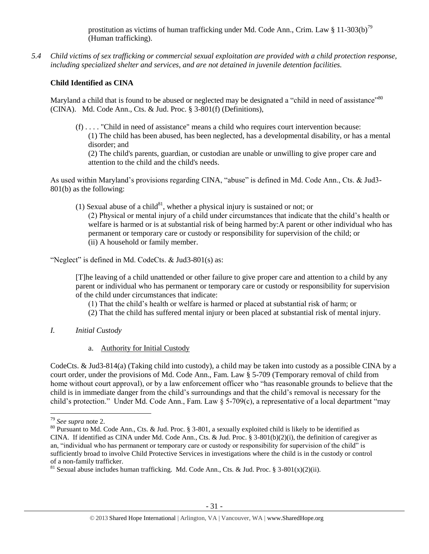prostitution as victims of human trafficking under Md. Code Ann., Crim. Law § 11-303(b)<sup>79</sup> (Human trafficking).

*5.4 Child victims of sex trafficking or commercial sexual exploitation are provided with a child protection response, including specialized shelter and services, and are not detained in juvenile detention facilities.*

## **Child Identified as CINA**

Maryland a child that is found to be abused or neglected may be designated a "child in need of assistance"<sup>80</sup> (CINA). Md. Code Ann., Cts. & Jud. Proc. § 3-801(f) (Definitions),

(f) . . . . "Child in need of assistance" means a child who requires court intervention because: (1) The child has been abused, has been neglected, has a developmental disability, or has a mental disorder; and (2) The child's parents, guardian, or custodian are unable or unwilling to give proper care and attention to the child and the child's needs.

As used within Maryland's provisions regarding CINA, "abuse" is defined in Md. Code Ann., Cts. & Jud3- 801(b) as the following:

(1) Sexual abuse of a child $81$ , whether a physical injury is sustained or not; or (2) Physical or mental injury of a child under circumstances that indicate that the child's health or welfare is harmed or is at substantial risk of being harmed by:A parent or other individual who has permanent or temporary care or custody or responsibility for supervision of the child; or (ii) A household or family member.

"Neglect" is defined in Md. CodeCts. & Jud3-801(s) as:

[T]he leaving of a child unattended or other failure to give proper care and attention to a child by any parent or individual who has permanent or temporary care or custody or responsibility for supervision of the child under circumstances that indicate:

(1) That the child's health or welfare is harmed or placed at substantial risk of harm; or

- (2) That the child has suffered mental injury or been placed at substantial risk of mental injury.
- *I. Initial Custody*
	- a. Authority for Initial Custody

CodeCts. & Jud3-814(a) (Taking child into custody), a child may be taken into custody as a possible CINA by a court order, under the provisions of Md. Code Ann., Fam. Law § 5-709 (Temporary removal of child from home without court approval), or by a law enforcement officer who "has reasonable grounds to believe that the child is in immediate danger from the child's surroundings and that the child's removal is necessary for the child's protection." Under Md. Code Ann., Fam. Law § 5-709(c), a representative of a local department "may

 $\overline{\phantom{a}}$ <sup>79</sup> *See supra* note [2.](#page-0-0)

<sup>&</sup>lt;sup>80</sup> Pursuant to Md. Code Ann., Cts. & Jud. Proc. § 3-801, a sexually exploited child is likely to be identified as CINA. If identified as CINA under Md. Code Ann., Cts. & Jud. Proc. § 3-801(b)(2)(i), the definition of caregiver as an, "individual who has permanent or temporary care or custody or responsibility for supervision of the child" is sufficiently broad to involve Child Protective Services in investigations where the child is in the custody or control of a non-family trafficker.

<sup>&</sup>lt;sup>81</sup> Sexual abuse includes human trafficking. Md. Code Ann., Cts. & Jud. Proc. § 3-801(x)(2)(ii).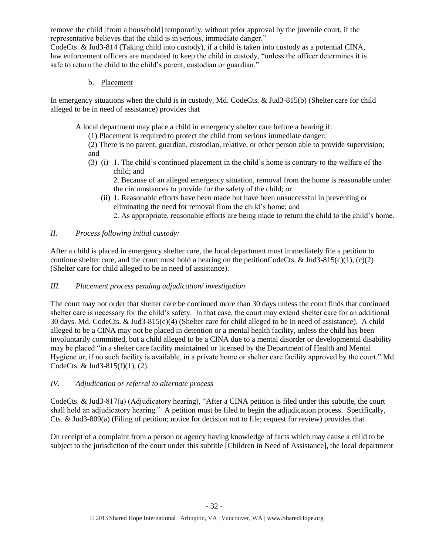remove the child [from a household] temporarily, without prior approval by the juvenile court, if the representative believes that the child is in serious, immediate danger."

CodeCts. & Jud3-814 (Taking child into custody), if a child is taken into custody as a potential CINA, law enforcement officers are mandated to keep the child in custody, "unless the officer determines it is safe to return the child to the child's parent, custodian or guardian."

b. Placement

In emergency situations when the child is in custody, Md. CodeCts. & Jud3-815(b) (Shelter care for child alleged to be in need of assistance) provides that

A local department may place a child in emergency shelter care before a hearing if:

(1) Placement is required to protect the child from serious immediate danger;

(2) There is no parent, guardian, custodian, relative, or other person able to provide supervision; and

(3) (i) 1. The child's continued placement in the child's home is contrary to the welfare of the child; and

2. Because of an alleged emergency situation, removal from the home is reasonable under the circumstances to provide for the safety of the child; or

(ii) 1. Reasonable efforts have been made but have been unsuccessful in preventing or eliminating the need for removal from the child's home; and

2. As appropriate, reasonable efforts are being made to return the child to the child's home.

# *II. Process following initial custody:*

After a child is placed in emergency shelter care, the local department must immediately file a petition to continue shelter care, and the court must hold a hearing on the petitionCodeCts. & Jud3-815(c)(1), (c)(2) (Shelter care for child alleged to be in need of assistance).

# *III. Placement process pending adjudication/ investigation*

The court may not order that shelter care be continued more than 30 days unless the court finds that continued shelter care is necessary for the child's safety. In that case, the court may extend shelter care for an additional 30 days. Md. CodeCts. & Jud3-815(c)(4) (Shelter care for child alleged to be in need of assistance). A child alleged to be a CINA may not be placed in detention or a mental health facility, unless the child has been involuntarily committed, but a child alleged to be a CINA due to a mental disorder or developmental disability may be placed "in a shelter care facility maintained or licensed by the Department of Health and Mental Hygiene or, if no such facility is available, in a private home or shelter care facility approved by the court." Md. CodeCts. & Jud3-815(f)(1), (2).

# *IV. Adjudication or referral to alternate process*

CodeCts. & Jud3-817(a) (Adjudicatory hearing), "After a CINA petition is filed under this subtitle, the court shall hold an adjudicatory hearing." A petition must be filed to begin the adjudication process. Specifically, Cts. & Jud3-809(a) (Filing of petition; notice for decision not to file; request for review) provides that

On receipt of a complaint from a person or agency having knowledge of facts which may cause a child to be subject to the jurisdiction of the court under this subtitle [Children in Need of Assistance], the local department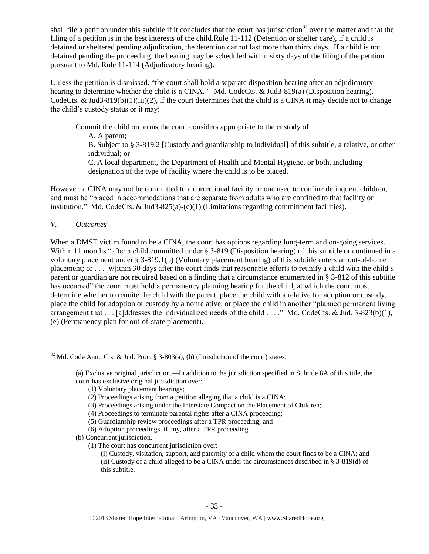shall file a petition under this subtitle if it concludes that the court has jurisdiction<sup>82</sup> over the matter and that the filing of a petition is in the best interests of the child.Rule 11-112 (Detention or shelter care), if a child is detained or sheltered pending adjudication, the detention cannot last more than thirty days. If a child is not detained pending the proceeding, the hearing may be scheduled within sixty days of the filing of the petition pursuant to Md. Rule 11-114 (Adjudicatory hearing).

Unless the petition is dismissed, "the court shall hold a separate disposition hearing after an adjudicatory hearing to determine whether the child is a CINA." Md. CodeCts. & Jud3-819(a) (Disposition hearing). CodeCts. & Jud3-819(b)(1)(iii)(2), if the court determines that the child is a CINA it may decide not to change the child's custody status or it may:

Commit the child on terms the court considers appropriate to the custody of: A. A parent; B. Subject to § 3-819.2 [Custody and guardianship to individual] of this subtitle, a relative, or other individual; or C. A local department, the Department of Health and Mental Hygiene, or both, including designation of the type of facility where the child is to be placed.

However, a CINA may not be committed to a correctional facility or one used to confine delinquent children, and must be "placed in accommodations that are separate from adults who are confined to that facility or institution." Md. CodeCts. & Jud3-825(a)-(c)(1) (Limitations regarding commitment facilities).

*V. Outcomes* 

When a DMST victim found to be a CINA, the court has options regarding long-term and on-going services. Within 11 months "after a child committed under § 3-819 (Disposition hearing) of this subtitle or continued in a voluntary placement under § 3-819.1(b) (Voluntary placement hearing) of this subtitle enters an out-of-home placement; or . . . [w]ithin 30 days after the court finds that reasonable efforts to reunify a child with the child's parent or guardian are not required based on a finding that a circumstance enumerated in § 3-812 of this subtitle has occurred" the court must hold a permanency planning hearing for the child, at which the court must determine whether to reunite the child with the parent, place the child with a relative for adoption or custody, place the child for adoption or custody by a nonrelative, or place the child in another "planned permanent living arrangement that . . . [a]ddresses the individualized needs of the child . . . ." Md. CodeCts. & Jud. 3-823(b)(1), (e) (Permanency plan for out-of-state placement).

 $\overline{\phantom{a}}$ <sup>82</sup> Md. Code Ann., Cts. & Jud. Proc. § 3-803(a), (b) (Jurisdiction of the court) states,

<sup>(</sup>a) Exclusive original jurisdiction.—In addition to the jurisdiction specified in Subtitle 8A of this title, the court has exclusive original jurisdiction over:

<sup>(1)</sup> Voluntary placement hearings;

<sup>(2)</sup> Proceedings arising from a petition alleging that a child is a CINA;

<sup>(3)</sup> Proceedings arising under the Interstate Compact on the Placement of Children;

<sup>(4)</sup> Proceedings to terminate parental rights after a CINA proceeding;

<sup>(5)</sup> Guardianship review proceedings after a TPR proceeding; and

<sup>(6)</sup> Adoption proceedings, if any, after a TPR proceeding.

<sup>(</sup>b) Concurrent jurisdiction.—

<sup>(1)</sup> The court has concurrent jurisdiction over:

<sup>(</sup>i) Custody, visitation, support, and paternity of a child whom the court finds to be a CINA; and (ii) Custody of a child alleged to be a CINA under the circumstances described in § 3-819(d) of this subtitle.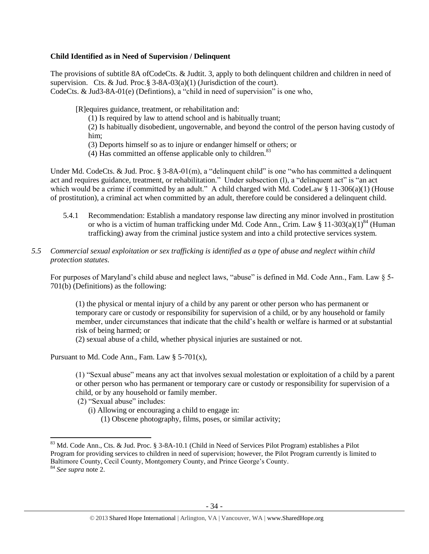### **Child Identified as in Need of Supervision / Delinquent**

The provisions of subtitle 8A ofCodeCts. & Judtit. 3, apply to both delinquent children and children in need of supervision. Cts. & Jud. Proc. §  $3-8A-03(a)(1)$  (Jurisdiction of the court). CodeCts. & Jud3-8A-01(e) (Defintions), a "child in need of supervision" is one who,

[R]equires guidance, treatment, or rehabilitation and:

(1) Is required by law to attend school and is habitually truant;

(2) Is habitually disobedient, ungovernable, and beyond the control of the person having custody of him;

(3) Deports himself so as to injure or endanger himself or others; or

(4) Has committed an offense applicable only to children. $83$ 

Under Md. CodeCts. & Jud. Proc. § 3-8A-01(m), a "delinquent child" is one "who has committed a delinquent" act and requires guidance, treatment, or rehabilitation." Under subsection (l), a "delinquent act" is "an act which would be a crime if committed by an adult." A child charged with Md. CodeLaw § 11-306(a)(1) (House of prostitution), a criminal act when committed by an adult, therefore could be considered a delinquent child.

- 5.4.1 Recommendation: Establish a mandatory response law directing any minor involved in prostitution or who is a victim of human trafficking under Md. Code Ann., Crim. Law  $\S 11-303(a)(1)^{84}$  (Human trafficking) away from the criminal justice system and into a child protective services system.
- *5.5 Commercial sexual exploitation or sex trafficking is identified as a type of abuse and neglect within child protection statutes.*

For purposes of Maryland's child abuse and neglect laws, "abuse" is defined in Md. Code Ann., Fam. Law § 5- 701(b) (Definitions) as the following:

(1) the physical or mental injury of a child by any parent or other person who has permanent or temporary care or custody or responsibility for supervision of a child, or by any household or family member, under circumstances that indicate that the child's health or welfare is harmed or at substantial risk of being harmed; or

(2) sexual abuse of a child, whether physical injuries are sustained or not.

Pursuant to Md. Code Ann., Fam. Law  $\S$  5-701(x),

(1) "Sexual abuse" means any act that involves sexual molestation or exploitation of a child by a parent or other person who has permanent or temporary care or custody or responsibility for supervision of a child, or by any household or family member.

(2) "Sexual abuse" includes:

- (i) Allowing or encouraging a child to engage in:
	- (1) Obscene photography, films, poses, or similar activity;

 $\overline{a}$ 

<sup>&</sup>lt;sup>83</sup> Md. Code Ann., Cts. & Jud. Proc. § 3-8A-10.1 (Child in Need of Services Pilot Program) establishes a Pilot Program for providing services to children in need of supervision; however, the Pilot Program currently is limited to Baltimore County, Cecil County, Montgomery County, and Prince George's County.

<sup>84</sup> *See supra* note [2.](#page-0-0)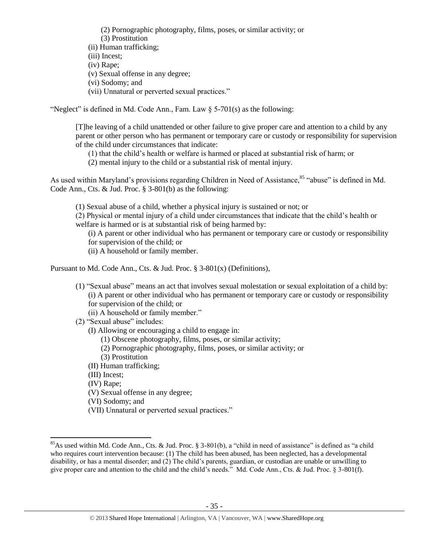(2) Pornographic photography, films, poses, or similar activity; or (3) Prostitution (ii) Human trafficking; (iii) Incest; (iv) Rape; (v) Sexual offense in any degree; (vi) Sodomy; and (vii) Unnatural or perverted sexual practices."

"Neglect" is defined in Md. Code Ann., Fam. Law  $\delta$  5-701(s) as the following:

[T]he leaving of a child unattended or other failure to give proper care and attention to a child by any parent or other person who has permanent or temporary care or custody or responsibility for supervision of the child under circumstances that indicate:

(1) that the child's health or welfare is harmed or placed at substantial risk of harm; or

(2) mental injury to the child or a substantial risk of mental injury.

As used within Maryland's provisions regarding Children in Need of Assistance,<sup>85</sup> "abuse" is defined in Md. Code Ann., Cts. & Jud. Proc. § 3-801(b) as the following:

(1) Sexual abuse of a child, whether a physical injury is sustained or not; or

(2) Physical or mental injury of a child under circumstances that indicate that the child's health or welfare is harmed or is at substantial risk of being harmed by:

(i) A parent or other individual who has permanent or temporary care or custody or responsibility for supervision of the child; or

(ii) A household or family member.

Pursuant to Md. Code Ann., Cts. & Jud. Proc. § 3-801(x) (Definitions),

(1) "Sexual abuse" means an act that involves sexual molestation or sexual exploitation of a child by: (i) A parent or other individual who has permanent or temporary care or custody or responsibility for supervision of the child; or

(ii) A household or family member."

(2) "Sexual abuse" includes:

(I) Allowing or encouraging a child to engage in:

- (1) Obscene photography, films, poses, or similar activity;
- (2) Pornographic photography, films, poses, or similar activity; or
- (3) Prostitution
- (II) Human trafficking;

(III) Incest;

(IV) Rape;

 $\overline{a}$ 

(V) Sexual offense in any degree;

(VI) Sodomy; and

(VII) Unnatural or perverted sexual practices."

 $85$ As used within Md. Code Ann., Cts. & Jud. Proc. § 3-801(b), a "child in need of assistance" is defined as "a child who requires court intervention because: (1) The child has been abused, has been neglected, has a developmental disability, or has a mental disorder; and (2) The child's parents, guardian, or custodian are unable or unwilling to give proper care and attention to the child and the child's needs." Md. Code Ann., Cts. & Jud. Proc. § 3-801(f).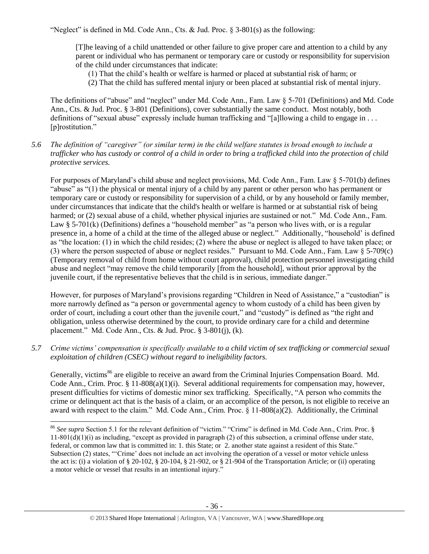"Neglect" is defined in Md. Code Ann., Cts. & Jud. Proc.  $\S$  3-801(s) as the following:

[T]he leaving of a child unattended or other failure to give proper care and attention to a child by any parent or individual who has permanent or temporary care or custody or responsibility for supervision of the child under circumstances that indicate:

- (1) That the child's health or welfare is harmed or placed at substantial risk of harm; or
- (2) That the child has suffered mental injury or been placed at substantial risk of mental injury.

The definitions of "abuse" and "neglect" under Md. Code Ann., Fam. Law § 5-701 (Definitions) and Md. Code Ann., Cts. & Jud. Proc. § 3-801 (Definitions), cover substantially the same conduct. Most notably, both definitions of "sexual abuse" expressly include human trafficking and "[a]llowing a child to engage in . . . [p]rostitution."

*5.6 The definition of "caregiver" (or similar term) in the child welfare statutes is broad enough to include a trafficker who has custody or control of a child in order to bring a trafficked child into the protection of child protective services.*

For purposes of Maryland's child abuse and neglect provisions, Md. Code Ann., Fam. Law § 5-701(b) defines "abuse" as "(1) the physical or mental injury of a child by any parent or other person who has permanent or temporary care or custody or responsibility for supervision of a child, or by any household or family member, under circumstances that indicate that the child's health or welfare is harmed or at substantial risk of being harmed; or (2) sexual abuse of a child, whether physical injuries are sustained or not." Md. Code Ann., Fam. Law § 5-701(k) (Definitions) defines a "household member" as "a person who lives with, or is a regular presence in, a home of a child at the time of the alleged abuse or neglect." Additionally, "household' is defined as "the location: (1) in which the child resides; (2) where the abuse or neglect is alleged to have taken place; or (3) where the person suspected of abuse or neglect resides." Pursuant to Md. Code Ann., Fam. Law § 5-709(c) (Temporary removal of child from home without court approval), child protection personnel investigating child abuse and neglect "may remove the child temporarily [from the household], without prior approval by the juvenile court, if the representative believes that the child is in serious, immediate danger."

However, for purposes of Maryland's provisions regarding "Children in Need of Assistance," a "custodian" is more narrowly defined as "a person or governmental agency to whom custody of a child has been given by order of court, including a court other than the juvenile court," and "custody" is defined as "the right and obligation, unless otherwise determined by the court, to provide ordinary care for a child and determine placement." Md. Code Ann., Cts. & Jud. Proc. § 3-801(j), (k).

*5.7 Crime victims' compensation is specifically available to a child victim of sex trafficking or commercial sexual exploitation of children (CSEC) without regard to ineligibility factors.*

Generally, victims<sup>86</sup> are eligible to receive an award from the Criminal Injuries Compensation Board. Md. Code Ann., Crim. Proc.  $\S 11-808(a)(1)(i)$ . Several additional requirements for compensation may, however, present difficulties for victims of domestic minor sex trafficking. Specifically, "A person who commits the crime or delinquent act that is the basis of a claim, or an accomplice of the person, is not eligible to receive an award with respect to the claim." Md. Code Ann., Crim. Proc. § 11-808(a)(2). Additionally, the Criminal

<sup>86</sup> *See supra* Section 5.1 for the relevant definition of "victim." "Crime" is defined in Md. Code Ann., Crim. Proc. §  $11-801(d)(1)(i)$  as including, "except as provided in paragraph (2) of this subsection, a criminal offense under state, federal, or common law that is committed in: 1. this State; or 2. another state against a resident of this State." Subsection (2) states, "'Crime' does not include an act involving the operation of a vessel or motor vehicle unless the act is: (i) a violation of § 20-102, § 20-104, § 21-902, or § 21-904 of the Transportation Article; or (ii) operating a motor vehicle or vessel that results in an intentional injury."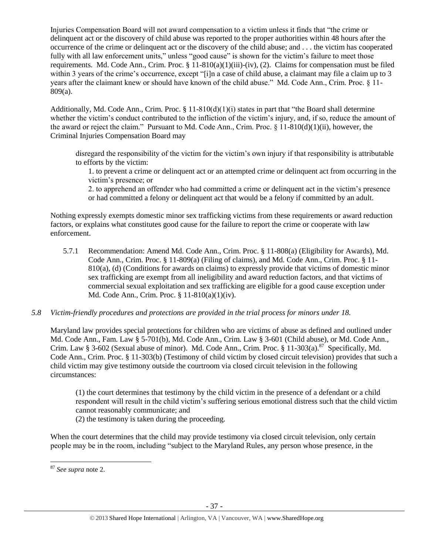Injuries Compensation Board will not award compensation to a victim unless it finds that "the crime or delinquent act or the discovery of child abuse was reported to the proper authorities within 48 hours after the occurrence of the crime or delinquent act or the discovery of the child abuse; and . . . the victim has cooperated fully with all law enforcement units," unless "good cause" is shown for the victim's failure to meet those requirements. Md. Code Ann., Crim. Proc.  $\S 11-810(a)(1)(iii)-(iv)$ , (2). Claims for compensation must be filed within 3 years of the crime's occurrence, except "[i]n a case of child abuse, a claimant may file a claim up to 3 years after the claimant knew or should have known of the child abuse." Md. Code Ann., Crim. Proc. § 11- 809(a).

Additionally, Md. Code Ann., Crim. Proc.  $\S 11-810(d)(1)(i)$  states in part that "the Board shall determine" whether the victim's conduct contributed to the infliction of the victim's injury, and, if so, reduce the amount of the award or reject the claim." Pursuant to Md. Code Ann., Crim. Proc. § 11-810(d)(1)(ii), however, the Criminal Injuries Compensation Board may

disregard the responsibility of the victim for the victim's own injury if that responsibility is attributable to efforts by the victim:

1. to prevent a crime or delinquent act or an attempted crime or delinquent act from occurring in the victim's presence; or

2. to apprehend an offender who had committed a crime or delinquent act in the victim's presence or had committed a felony or delinquent act that would be a felony if committed by an adult.

Nothing expressly exempts domestic minor sex trafficking victims from these requirements or award reduction factors, or explains what constitutes good cause for the failure to report the crime or cooperate with law enforcement.

5.7.1 Recommendation: Amend Md. Code Ann., Crim. Proc. § 11-808(a) (Eligibility for Awards), Md. Code Ann., Crim. Proc. § 11-809(a) (Filing of claims), and Md. Code Ann., Crim. Proc. § 11- 810(a), (d) (Conditions for awards on claims) to expressly provide that victims of domestic minor sex trafficking are exempt from all ineligibility and award reduction factors, and that victims of commercial sexual exploitation and sex trafficking are eligible for a good cause exception under Md. Code Ann., Crim. Proc. § 11-810(a)(1)(iv).

## *5.8 Victim-friendly procedures and protections are provided in the trial process for minors under 18.*

Maryland law provides special protections for children who are victims of abuse as defined and outlined under Md. Code Ann., Fam. Law § 5-701(b), Md. Code Ann., Crim. Law § 3-601 (Child abuse), or Md. Code Ann., Crim. Law § 3-602 (Sexual abuse of minor). Md. Code Ann., Crim. Proc. § 11-303(a).<sup>87</sup> Specifically, Md. Code Ann., Crim. Proc. § 11-303(b) (Testimony of child victim by closed circuit television) provides that such a child victim may give testimony outside the courtroom via closed circuit television in the following circumstances:

(1) the court determines that testimony by the child victim in the presence of a defendant or a child respondent will result in the child victim's suffering serious emotional distress such that the child victim cannot reasonably communicate; and

(2) the testimony is taken during the proceeding.

When the court determines that the child may provide testimony via closed circuit television, only certain people may be in the room, including "subject to the Maryland Rules, any person whose presence, in the

 $\overline{a}$ 

<sup>87</sup> *See supra* note [2.](#page-0-0)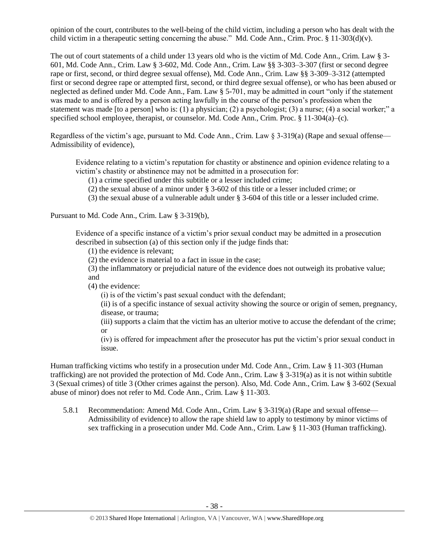opinion of the court, contributes to the well-being of the child victim, including a person who has dealt with the child victim in a therapeutic setting concerning the abuse." Md. Code Ann., Crim. Proc. § 11-303(d)(v).

The out of court statements of a child under 13 years old who is the victim of Md. Code Ann., Crim. Law § 3- 601, Md. Code Ann., Crim. Law § 3-602, Md. Code Ann., Crim. Law §§ 3-303–3-307 (first or second degree rape or first, second, or third degree sexual offense), Md. Code Ann., Crim. Law §§ 3-309–3-312 (attempted first or second degree rape or attempted first, second, or third degree sexual offense), or who has been abused or neglected as defined under Md. Code Ann., Fam. Law § 5-701, may be admitted in court "only if the statement was made to and is offered by a person acting lawfully in the course of the person's profession when the statement was made [to a person] who is: (1) a physician; (2) a psychologist; (3) a nurse; (4) a social worker;" a specified school employee, therapist, or counselor. Md. Code Ann., Crim. Proc. § 11-304(a)–(c).

Regardless of the victim's age, pursuant to Md. Code Ann., Crim. Law § 3-319(a) (Rape and sexual offense— Admissibility of evidence),

Evidence relating to a victim's reputation for chastity or abstinence and opinion evidence relating to a victim's chastity or abstinence may not be admitted in a prosecution for:

- (1) a crime specified under this subtitle or a lesser included crime;
- (2) the sexual abuse of a minor under § 3-602 of this title or a lesser included crime; or
- (3) the sexual abuse of a vulnerable adult under § 3-604 of this title or a lesser included crime.

Pursuant to Md. Code Ann., Crim. Law § 3-319(b),

Evidence of a specific instance of a victim's prior sexual conduct may be admitted in a prosecution described in subsection (a) of this section only if the judge finds that:

(1) the evidence is relevant;

(2) the evidence is material to a fact in issue in the case;

(3) the inflammatory or prejudicial nature of the evidence does not outweigh its probative value; and

(4) the evidence:

(i) is of the victim's past sexual conduct with the defendant;

(ii) is of a specific instance of sexual activity showing the source or origin of semen, pregnancy, disease, or trauma;

(iii) supports a claim that the victim has an ulterior motive to accuse the defendant of the crime; or

(iv) is offered for impeachment after the prosecutor has put the victim's prior sexual conduct in issue.

Human trafficking victims who testify in a prosecution under Md. Code Ann., Crim. Law § 11-303 (Human trafficking) are not provided the protection of Md. Code Ann., Crim. Law § 3-319(a) as it is not within subtitle 3 (Sexual crimes) of title 3 (Other crimes against the person). Also, Md. Code Ann., Crim. Law § 3-602 (Sexual abuse of minor) does not refer to Md. Code Ann., Crim. Law § 11-303.

5.8.1 Recommendation: Amend Md. Code Ann., Crim. Law § 3-319(a) (Rape and sexual offense— Admissibility of evidence) to allow the rape shield law to apply to testimony by minor victims of sex trafficking in a prosecution under Md. Code Ann., Crim. Law § 11-303 (Human trafficking).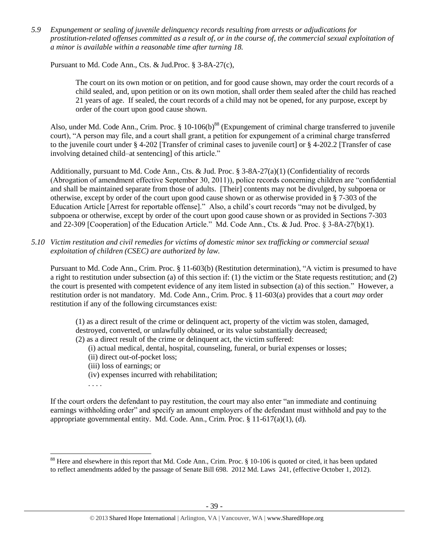*5.9 Expungement or sealing of juvenile delinquency records resulting from arrests or adjudications for prostitution-related offenses committed as a result of, or in the course of, the commercial sexual exploitation of a minor is available within a reasonable time after turning 18.*

Pursuant to Md. Code Ann., Cts. & Jud.Proc. § 3-8A-27(c),

The court on its own motion or on petition, and for good cause shown, may order the court records of a child sealed, and, upon petition or on its own motion, shall order them sealed after the child has reached 21 years of age. If sealed, the court records of a child may not be opened, for any purpose, except by order of the court upon good cause shown.

Also, under Md. Code Ann., Crim. Proc. § 10-106(b)<sup>88</sup> (Expungement of criminal charge transferred to juvenile court), "A person may file, and a court shall grant, a petition for expungement of a criminal charge transferred to the juvenile court under § 4-202 [Transfer of criminal cases to juvenile court] or § 4-202.2 [Transfer of case involving detained child–at sentencing] of this article."

Additionally, pursuant to Md. Code Ann., Cts. & Jud. Proc.  $\S$  3-8A-27(a)(1) (Confidentiality of records (Abrogation of amendment effective September 30, 2011)), police records concerning children are "confidential and shall be maintained separate from those of adults. [Their] contents may not be divulged, by subpoena or otherwise, except by order of the court upon good cause shown or as otherwise provided in § 7-303 of the Education Article [Arrest for reportable offense]." Also, a child's court records "may not be divulged, by subpoena or otherwise, except by order of the court upon good cause shown or as provided in Sections 7-303 and 22-309 [Cooperation] of the Education Article." Md. Code Ann., Cts. & Jud. Proc. § 3-8A-27(b)(1).

*5.10 Victim restitution and civil remedies for victims of domestic minor sex trafficking or commercial sexual exploitation of children (CSEC) are authorized by law.*

Pursuant to Md. Code Ann., Crim. Proc. § 11-603(b) (Restitution determination), "A victim is presumed to have a right to restitution under subsection (a) of this section if: (1) the victim or the State requests restitution; and (2) the court is presented with competent evidence of any item listed in subsection (a) of this section." However, a restitution order is not mandatory. Md. Code Ann., Crim. Proc. § 11-603(a) provides that a court *may* order restitution if any of the following circumstances exist:

(1) as a direct result of the crime or delinquent act, property of the victim was stolen, damaged, destroyed, converted, or unlawfully obtained, or its value substantially decreased;

- (2) as a direct result of the crime or delinquent act, the victim suffered:
	- (i) actual medical, dental, hospital, counseling, funeral, or burial expenses or losses;
	- (ii) direct out-of-pocket loss;
	- (iii) loss of earnings; or
	- (iv) expenses incurred with rehabilitation;

. . . .

l

If the court orders the defendant to pay restitution, the court may also enter "an immediate and continuing earnings withholding order" and specify an amount employers of the defendant must withhold and pay to the appropriate governmental entity. Md. Code. Ann., Crim. Proc. § 11-617(a)(1), (d).

<sup>&</sup>lt;sup>88</sup> Here and elsewhere in this report that Md. Code Ann., Crim. Proc. § 10-106 is quoted or cited, it has been updated to reflect amendments added by the passage of Senate Bill 698. 2012 Md. Laws 241, (effective October 1, 2012).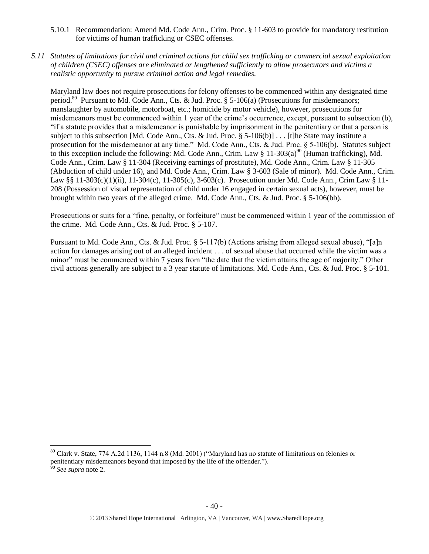- 5.10.1 Recommendation: Amend Md. Code Ann., Crim. Proc. § 11-603 to provide for mandatory restitution for victims of human trafficking or CSEC offenses.
- *5.11 Statutes of limitations for civil and criminal actions for child sex trafficking or commercial sexual exploitation of children (CSEC) offenses are eliminated or lengthened sufficiently to allow prosecutors and victims a realistic opportunity to pursue criminal action and legal remedies.*

Maryland law does not require prosecutions for felony offenses to be commenced within any designated time period.<sup>89</sup> Pursuant to Md. Code Ann., Cts. & Jud. Proc. § 5-106(a) (Prosecutions for misdemeanors; manslaughter by automobile, motorboat, etc.; homicide by motor vehicle), however, prosecutions for misdemeanors must be commenced within 1 year of the crime's occurrence, except, pursuant to subsection (b), "if a statute provides that a misdemeanor is punishable by imprisonment in the penitentiary or that a person is subject to this subsection [Md. Code Ann., Cts. & Jud. Proc. § 5-106(b)] . . . [t]he State may institute a prosecution for the misdemeanor at any time." Md. Code Ann., Cts. & Jud. Proc. § 5-106(b). Statutes subject to this exception include the following: Md. Code Ann., Crim. Law § 11-303(a)<sup>90</sup> (Human trafficking), Md. Code Ann., Crim. Law § 11-304 (Receiving earnings of prostitute), Md. Code Ann., Crim. Law § 11-305 (Abduction of child under 16), and Md. Code Ann., Crim. Law § 3-603 (Sale of minor). Md. Code Ann., Crim. Law §§ 11-303(c)(1)(ii), 11-304(c), 11-305(c), 3-603(c). Prosecution under Md. Code Ann., Crim Law § 11- 208 (Possession of visual representation of child under 16 engaged in certain sexual acts), however, must be brought within two years of the alleged crime. Md. Code Ann., Cts. & Jud. Proc. § 5-106(bb).

Prosecutions or suits for a "fine, penalty, or forfeiture" must be commenced within 1 year of the commission of the crime. Md. Code Ann., Cts. & Jud. Proc. § 5-107.

Pursuant to Md. Code Ann., Cts. & Jud. Proc. § 5-117(b) (Actions arising from alleged sexual abuse), "[a]n action for damages arising out of an alleged incident . . . of sexual abuse that occurred while the victim was a minor" must be commenced within 7 years from "the date that the victim attains the age of majority." Other civil actions generally are subject to a 3 year statute of limitations. Md. Code Ann., Cts. & Jud. Proc. § 5-101.

 $89$  Clark v. State, 774 A.2d 1136, 1144 n.8 (Md. 2001) ("Maryland has no statute of limitations on felonies or penitentiary misdemeanors beyond that imposed by the life of the offender.").

<sup>90</sup> *See supra* note [2.](#page-0-0)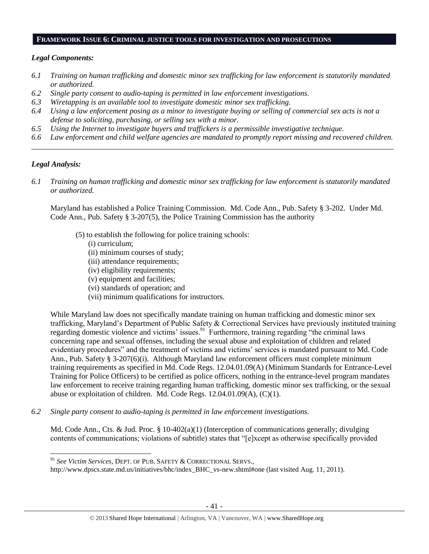### **FRAMEWORK ISSUE 6: CRIMINAL JUSTICE TOOLS FOR INVESTIGATION AND PROSECUTIONS**

#### *Legal Components:*

- *6.1 Training on human trafficking and domestic minor sex trafficking for law enforcement is statutorily mandated or authorized.*
- *6.2 Single party consent to audio-taping is permitted in law enforcement investigations.*
- *6.3 Wiretapping is an available tool to investigate domestic minor sex trafficking.*
- *6.4 Using a law enforcement posing as a minor to investigate buying or selling of commercial sex acts is not a defense to soliciting, purchasing, or selling sex with a minor.*
- *6.5 Using the Internet to investigate buyers and traffickers is a permissible investigative technique.*
- *6.6 Law enforcement and child welfare agencies are mandated to promptly report missing and recovered children. \_\_\_\_\_\_\_\_\_\_\_\_\_\_\_\_\_\_\_\_\_\_\_\_\_\_\_\_\_\_\_\_\_\_\_\_\_\_\_\_\_\_\_\_\_\_\_\_\_\_\_\_\_\_\_\_\_\_\_\_\_\_\_\_\_\_\_\_\_\_\_\_\_\_\_\_\_\_\_\_\_\_\_\_\_\_\_\_\_\_\_\_\_\_*

### *Legal Analysis:*

l

*6.1 Training on human trafficking and domestic minor sex trafficking for law enforcement is statutorily mandated or authorized.*

Maryland has established a Police Training Commission. Md. Code Ann., Pub. Safety § 3-202. Under Md. Code Ann., Pub. Safety § 3-207(5), the Police Training Commission has the authority

- (5) to establish the following for police training schools:
	- (i) curriculum;
	- (ii) minimum courses of study;
	- (iii) attendance requirements;
	- (iv) eligibility requirements;
	- (v) equipment and facilities;
	- (vi) standards of operation; and
	- (vii) minimum qualifications for instructors.

While Maryland law does not specifically mandate training on human trafficking and domestic minor sex trafficking, Maryland's Department of Public Safety & Correctional Services have previously instituted training regarding domestic violence and victims' issues.<sup>91</sup> Furthermore, training regarding "the criminal laws concerning rape and sexual offenses, including the sexual abuse and exploitation of children and related evidentiary procedures" and the treatment of victims and victims' services is mandated pursuant to Md. Code Ann., Pub. Safety § 3-207(6)(i). Although Maryland law enforcement officers must complete minimum training requirements as specified in Md. Code Regs. 12.04.01.09(A) (Minimum Standards for Entrance-Level Training for Police Officers) to be certified as police officers, nothing in the entrance-level program mandates law enforcement to receive training regarding human trafficking, domestic minor sex trafficking, or the sexual abuse or exploitation of children. Md. Code Regs. 12.04.01.09(A), (C)(1).

*6.2 Single party consent to audio-taping is permitted in law enforcement investigations.*

Md. Code Ann., Cts. & Jud. Proc. § 10-402(a)(1) (Interception of communications generally; divulging contents of communications; violations of subtitle) states that "[e]xcept as otherwise specifically provided

<sup>91</sup> *See Victim Services*, DEPT. OF PUB. SAFETY & CORRECTIONAL SERVS.,

http://www.dpscs.state.md.us/initiatives/bhc/index\_BHC\_vs-new.shtml#one (last visited Aug. 11, 2011).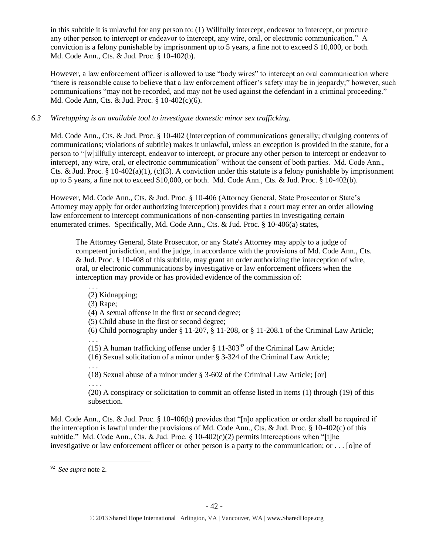in this subtitle it is unlawful for any person to: (1) Willfully intercept, endeavor to intercept, or procure any other person to intercept or endeavor to intercept, any wire, oral, or electronic communication." A conviction is a felony punishable by imprisonment up to 5 years, a fine not to exceed \$ 10,000, or both. Md. Code Ann., Cts. & Jud. Proc. § 10-402(b).

However, a law enforcement officer is allowed to use "body wires" to intercept an oral communication where "there is reasonable cause to believe that a law enforcement officer's safety may be in jeopardy;" however, such communications "may not be recorded, and may not be used against the defendant in a criminal proceeding." Md. Code Ann, Cts. & Jud. Proc. § 10-402(c)(6).

## *6.3 Wiretapping is an available tool to investigate domestic minor sex trafficking.*

Md. Code Ann., Cts. & Jud. Proc. § 10-402 (Interception of communications generally; divulging contents of communications; violations of subtitle) makes it unlawful, unless an exception is provided in the statute, for a person to "[w]illfully intercept, endeavor to intercept, or procure any other person to intercept or endeavor to intercept, any wire, oral, or electronic communication" without the consent of both parties. Md. Code Ann., Cts. & Jud. Proc. § 10-402(a)(1), (c)(3). A conviction under this statute is a felony punishable by imprisonment up to 5 years, a fine not to exceed \$10,000, or both. Md. Code Ann., Cts. & Jud. Proc. § 10-402(b).

However, Md. Code Ann., Cts. & Jud. Proc. § 10-406 (Attorney General, State Prosecutor or State's Attorney may apply for order authorizing interception) provides that a court may enter an order allowing law enforcement to intercept communications of non-consenting parties in investigating certain enumerated crimes. Specifically, Md. Code Ann., Cts. & Jud. Proc. § 10-406(a) states,

The Attorney General, State Prosecutor, or any State's Attorney may apply to a judge of competent jurisdiction, and the judge, in accordance with the provisions of Md. Code Ann., Cts. & Jud. Proc. § 10-408 of this subtitle, may grant an order authorizing the interception of wire, oral, or electronic communications by investigative or law enforcement officers when the interception may provide or has provided evidence of the commission of:

(2) Kidnapping;

(3) Rape;

. . .

. . .

(4) A sexual offense in the first or second degree;

(5) Child abuse in the first or second degree;

(6) Child pornography under  $\S 11-207$ ,  $\S 11-208$ , or  $\S 11-208$ . 1 of the Criminal Law Article; . . .

(15) A human trafficking offense under  $\S 11-303^{92}$  of the Criminal Law Article;

(16) Sexual solicitation of a minor under § 3-324 of the Criminal Law Article;

(18) Sexual abuse of a minor under § 3-602 of the Criminal Law Article; [or] . . . .

(20) A conspiracy or solicitation to commit an offense listed in items (1) through (19) of this subsection.

Md. Code Ann., Cts. & Jud. Proc. § 10-406(b) provides that "[n]o application or order shall be required if the interception is lawful under the provisions of Md. Code Ann., Cts. & Jud. Proc. § 10-402(c) of this subtitle." Md. Code Ann., Cts. & Jud. Proc.  $\S$  10-402(c)(2) permits interceptions when "[t]he investigative or law enforcement officer or other person is a party to the communication; or . . . [o]ne of

 92 *See supra* note [2.](#page-0-0)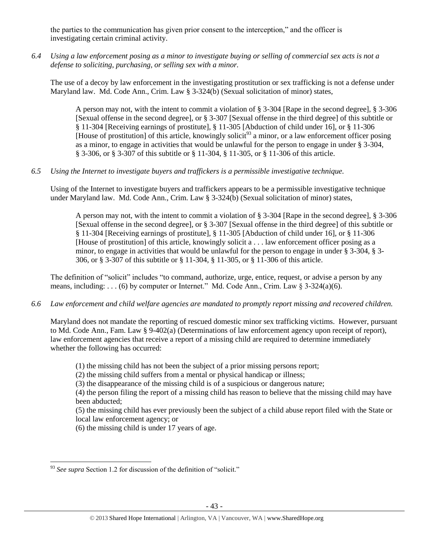the parties to the communication has given prior consent to the interception," and the officer is investigating certain criminal activity.

*6.4 Using a law enforcement posing as a minor to investigate buying or selling of commercial sex acts is not a defense to soliciting, purchasing, or selling sex with a minor.*

The use of a decoy by law enforcement in the investigating prostitution or sex trafficking is not a defense under Maryland law. Md. Code Ann., Crim. Law § 3-324(b) (Sexual solicitation of minor) states,

A person may not, with the intent to commit a violation of § 3-304 [Rape in the second degree], § 3-306 [Sexual offense in the second degree], or § 3-307 [Sexual offense in the third degree] of this subtitle or § 11-304 [Receiving earnings of prostitute], § 11-305 [Abduction of child under 16], or § 11-306 [House of prostitution] of this article, knowingly solicit<sup>93</sup> a minor, or a law enforcement officer posing as a minor, to engage in activities that would be unlawful for the person to engage in under § 3-304, § 3-306, or § 3-307 of this subtitle or § 11-304, § 11-305, or § 11-306 of this article.

## *6.5 Using the Internet to investigate buyers and traffickers is a permissible investigative technique.*

Using of the Internet to investigate buyers and traffickers appears to be a permissible investigative technique under Maryland law. Md. Code Ann., Crim. Law § 3-324(b) (Sexual solicitation of minor) states,

A person may not, with the intent to commit a violation of § 3-304 [Rape in the second degree], § 3-306 [Sexual offense in the second degree], or § 3-307 [Sexual offense in the third degree] of this subtitle or § 11-304 [Receiving earnings of prostitute], § 11-305 [Abduction of child under 16], or § 11-306 [House of prostitution] of this article, knowingly solicit a . . . law enforcement officer posing as a minor, to engage in activities that would be unlawful for the person to engage in under § 3-304, § 3- 306, or § 3-307 of this subtitle or § 11-304, § 11-305, or § 11-306 of this article.

The definition of "solicit" includes "to command, authorize, urge, entice, request, or advise a person by any means, including: . . . (6) by computer or Internet." Md. Code Ann., Crim. Law  $\S$  3-324(a)(6).

## *6.6 Law enforcement and child welfare agencies are mandated to promptly report missing and recovered children.*

Maryland does not mandate the reporting of rescued domestic minor sex trafficking victims. However, pursuant to Md. Code Ann., Fam. Law § 9-402(a) (Determinations of law enforcement agency upon receipt of report), law enforcement agencies that receive a report of a missing child are required to determine immediately whether the following has occurred:

- (1) the missing child has not been the subject of a prior missing persons report;
- (2) the missing child suffers from a mental or physical handicap or illness;
- (3) the disappearance of the missing child is of a suspicious or dangerous nature;

(4) the person filing the report of a missing child has reason to believe that the missing child may have been abducted;

(5) the missing child has ever previously been the subject of a child abuse report filed with the State or local law enforcement agency; or

(6) the missing child is under 17 years of age.

 $\overline{a}$ <sup>93</sup> See supra Section 1.2 for discussion of the definition of "solicit."